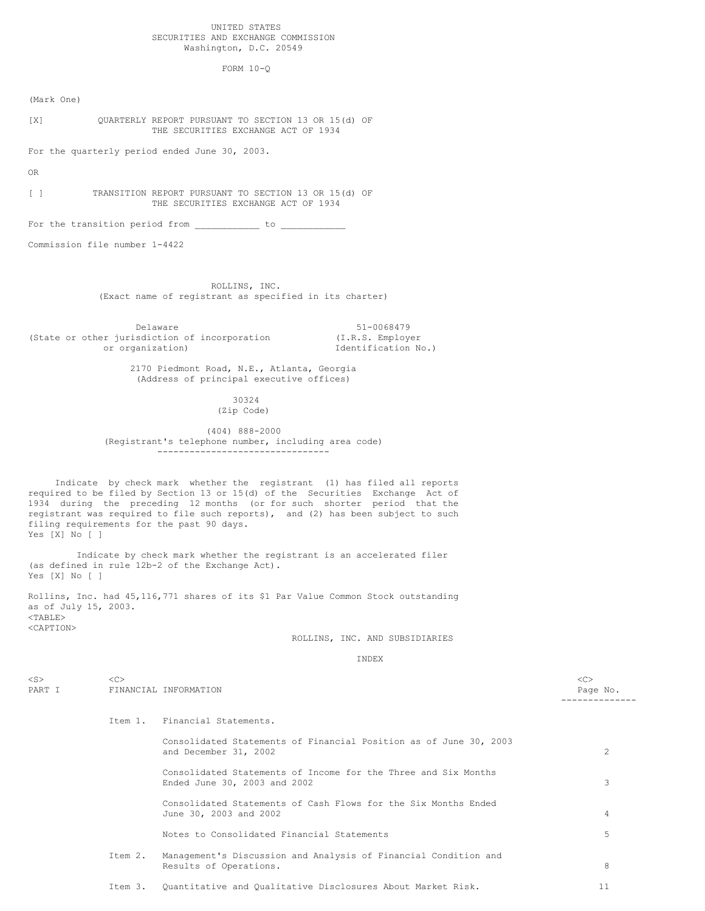### UNITED STATES SECURITIES AND EXCHANGE COMMISSION Washington, D.C. 20549

FORM 10-Q

(Mark One)

[X] QUARTERLY REPORT PURSUANT TO SECTION 13 OR 15(d) OF THE SECURITIES EXCHANGE ACT OF 1934

For the quarterly period ended June 30, 2003.

OR

[ ] TRANSITION REPORT PURSUANT TO SECTION 13 OR 15(d) OF THE SECURITIES EXCHANGE ACT OF 1934

For the transition period from \_\_\_\_\_\_\_\_\_\_\_\_ to \_\_\_\_\_\_\_\_\_\_

Commission file number 1-4422

ROLLINS, INC. (Exact name of registrant as specified in its charter)

Delaware 51-0068479<br>isdiction of incorporation (I.R.S. Employer (State or other jurisdiction of incorporation or organization) Identification No.)

> 2170 Piedmont Road, N.E., Atlanta, Georgia (Address of principal executive offices)

> > 30324 (Zip Code)

(404) 888-2000 (Registrant's telephone number, including area code) --------------------------------

Indicate by check mark whether the registrant (1) has filed all reports required to be filed by Section 13 or 15(d) of the Securities Exchange Act of 1934 during the preceding 12 months (or for such shorter period that the registrant was required to file such reports), and (2) has been subject to such filing requirements for the past 90 days. Yes [X] No [ ]

Indicate by check mark whether the registrant is an accelerated filer (as defined in rule 12b-2 of the Exchange Act). Yes [X] No [ ]

Rollins, Inc. had 45,116,771 shares of its \$1 Par Value Common Stock outstanding as of July 15, 2003. <TABLE> <CAPTION>

ROLLINS, INC. AND SUBSIDIARIES

INDEX

| $<$ S $>$<br>PART I | < <sub></sub> | FINANCIAL INFORMATION                                                                          | <<<br>Page No. |
|---------------------|---------------|------------------------------------------------------------------------------------------------|----------------|
|                     | Item 1.       | Financial Statements.                                                                          |                |
|                     |               | Consolidated Statements of Financial Position as of June 30, 2003<br>and December 31, 2002     | $\mathfrak{D}$ |
|                     |               | Consolidated Statements of Income for the Three and Six Months<br>Ended June 30, 2003 and 2002 | 3              |
|                     |               | Consolidated Statements of Cash Flows for the Six Months Ended<br>June 30, 2003 and 2002       | 4              |
|                     |               | Notes to Consolidated Financial Statements                                                     | 5              |
|                     | Item 2.       | Management's Discussion and Analysis of Financial Condition and<br>Results of Operations.      | 8              |
|                     | Item 3.       | Ouantitative and Oualitative Disclosures About Market Risk.                                    | 11             |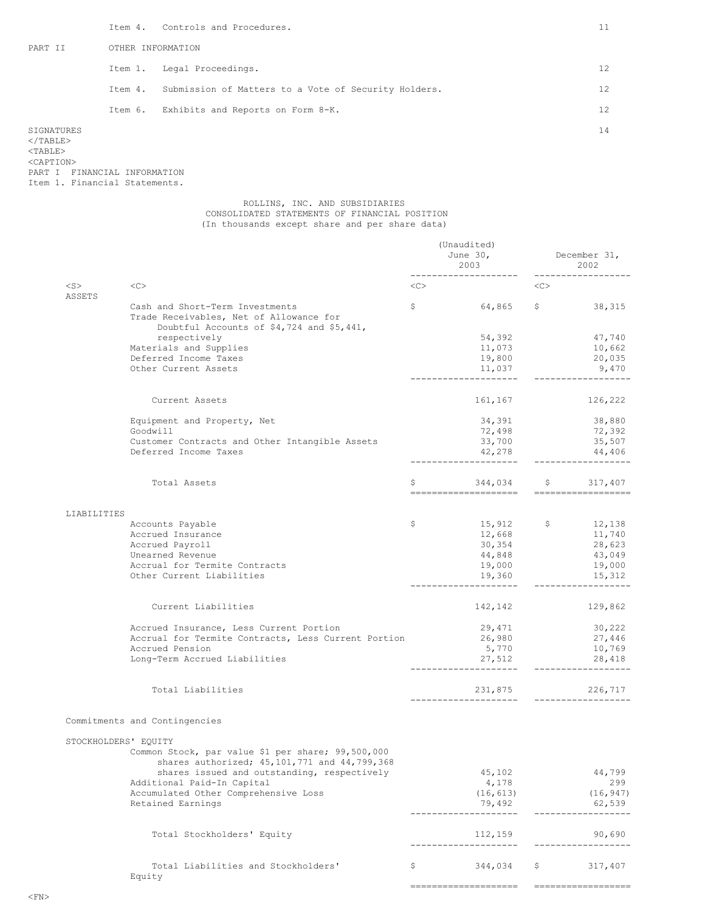|                           | Item 4.           | Controls and Procedures.                             |                 |  |  |
|---------------------------|-------------------|------------------------------------------------------|-----------------|--|--|
| PART II                   | OTHER INFORMATION |                                                      |                 |  |  |
|                           | Item 1.           | Legal Proceedings.                                   | 12 <sup>°</sup> |  |  |
|                           | Item 4.           | Submission of Matters to a Vote of Security Holders. | 12 <sup>°</sup> |  |  |
|                           | Item 6.           | Exhibits and Reports on Form 8-K.                    | 12 <sup>°</sup> |  |  |
| SIGNATURES<br>$<$ /TABLE> |                   |                                                      | 14              |  |  |

 $\langle$ /TA  $<$ TABLE $>$ <CAPTION> PART I FINANCIAL INFORMATION Item 1. Financial Statements.

# ROLLINS, INC. AND SUBSIDIARIES CONSOLIDATED STATEMENTS OF FINANCIAL POSITION (In thousands except share and per share data)

|             |                                                                                                                                                  |          | (Unaudited)<br>June 30,<br>2003<br>-------------------- |                               | December 31,<br>2002<br>----------------- |
|-------------|--------------------------------------------------------------------------------------------------------------------------------------------------|----------|---------------------------------------------------------|-------------------------------|-------------------------------------------|
| $<$ S $>$   | <<                                                                                                                                               | $<<$ $>$ |                                                         | <<>                           |                                           |
| ASSETS      | Cash and Short-Term Investments<br>Trade Receivables, Net of Allowance for<br>Doubtful Accounts of \$4,724 and \$5,441,                          | \$       | 64,865                                                  | $\mathsf{S}$ and $\mathsf{S}$ | 38, 315                                   |
|             | respectively                                                                                                                                     |          | 54,392                                                  |                               | 47,740                                    |
|             | Materials and Supplies                                                                                                                           |          | 11,073                                                  |                               | 10,662                                    |
|             | Deferred Income Taxes                                                                                                                            |          | 19,800                                                  |                               | 20,035                                    |
|             | Other Current Assets                                                                                                                             |          | 11,037                                                  |                               | 9,470                                     |
|             | Current Assets                                                                                                                                   |          | 161,167                                                 |                               | 126,222                                   |
|             | Equipment and Property, Net                                                                                                                      |          | 34,391                                                  |                               | 38,880                                    |
|             | Goodwill                                                                                                                                         |          | 72,498                                                  |                               | 72,392                                    |
|             | Customer Contracts and Other Intangible Assets                                                                                                   |          | 33,700                                                  |                               | 35,507                                    |
|             | Deferred Income Taxes                                                                                                                            |          | 42,278                                                  |                               | 44,406                                    |
|             | Total Assets                                                                                                                                     | \$       | 344,034<br>---------------------                        | S                             | 317,407<br>-------------------            |
| LIABILITIES |                                                                                                                                                  |          |                                                         |                               |                                           |
|             | Accounts Payable                                                                                                                                 | \$       | $15,912$ \$                                             |                               | 12,138                                    |
|             | Accrued Insurance                                                                                                                                |          | 12,668                                                  |                               | 11,740                                    |
|             | Accrued Payroll                                                                                                                                  |          | 30,354                                                  |                               | 28,623                                    |
|             | Unearned Revenue                                                                                                                                 |          | 44,848                                                  |                               | 43,049                                    |
|             | Accrual for Termite Contracts                                                                                                                    |          | 19,000                                                  |                               | 19,000                                    |
|             | Other Current Liabilities                                                                                                                        |          | 19,360                                                  |                               | 15,312                                    |
|             | Current Liabilities                                                                                                                              |          | 142,142                                                 |                               | 129,862                                   |
|             | Accrued Insurance, Less Current Portion                                                                                                          |          | 29,471                                                  |                               | 30,222                                    |
|             | Accrual for Termite Contracts, Less Current Portion                                                                                              |          | 26,980                                                  |                               | 27,446                                    |
|             | Accrued Pension                                                                                                                                  |          | 5,770                                                   |                               | 10,769                                    |
|             | Long-Term Accrued Liabilities                                                                                                                    |          | 27,512                                                  |                               | 28,418                                    |
|             |                                                                                                                                                  |          |                                                         |                               |                                           |
|             | Total Liabilities                                                                                                                                |          | 231,875                                                 |                               | 226,717                                   |
|             | Commitments and Contingencies                                                                                                                    |          |                                                         |                               |                                           |
|             | STOCKHOLDERS' EQUITY                                                                                                                             |          |                                                         |                               |                                           |
|             | Common Stock, par value \$1 per share; 99,500,000<br>shares authorized; 45,101,771 and 44,799,368<br>shares issued and outstanding, respectively |          | 45,102                                                  |                               | 44,799                                    |
|             | Additional Paid-In Capital                                                                                                                       |          | 4,178                                                   |                               | 299                                       |
|             | Accumulated Other Comprehensive Loss                                                                                                             |          | (16, 613)                                               |                               | (16, 947)                                 |
|             | Retained Earnings                                                                                                                                |          | 79,492<br>-------------                                 |                               | 62,539<br>-------------                   |
|             | Total Stockholders' Equity                                                                                                                       |          | 112,159                                                 |                               | 90,690                                    |
|             |                                                                                                                                                  |          | _____________                                           |                               | ______________                            |
|             | Total Liabilities and Stockholders'<br>Equity                                                                                                    | \$       | 344,034                                                 | \$                            | 317,407                                   |

==================== ==================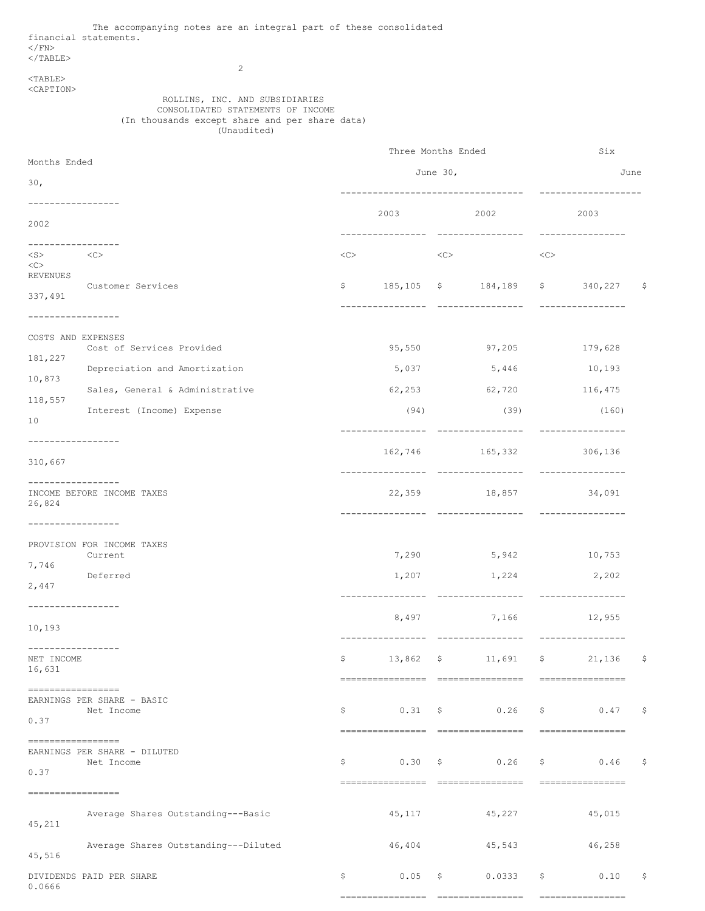The accompanying notes are an integral part of these consolidated financial statements.  $\rm  FN>$  $<$ /TABLE> 2

<TABLE> <CAPTION>

# ROLLINS, INC. AND SUBSIDIARIES CONSOLIDATED STATEMENTS OF INCOME (In thousands except share and per share data) (Unaudited)

|                                                  |                                                         | Three Months Ended |                                               |              |                                            | Six          |                                   |      |
|--------------------------------------------------|---------------------------------------------------------|--------------------|-----------------------------------------------|--------------|--------------------------------------------|--------------|-----------------------------------|------|
| Months Ended                                     |                                                         | June $301$         |                                               |              |                                            | June         |                                   |      |
| 30 <sub>1</sub><br>-----------------             |                                                         |                    |                                               |              |                                            |              |                                   |      |
| 2002                                             |                                                         |                    | 2003<br>------------                          |              | 2002<br>----------------                   |              | 2003                              |      |
| ----------------<br>$<$ S $>$<br><<><br>REVENUES | < <c></c>                                               | <<>                |                                               | <<           |                                            | <<           |                                   |      |
| 337,491                                          | Customer Services<br>---------------                    |                    |                                               |              | $$185,105$ \$ 184,189<br>----------------  |              | $$340,227$ \$<br>---------------- |      |
| COSTS AND EXPENSES<br>181,227                    | Cost of Services Provided                               |                    |                                               |              | 95,550 97,205 179,628                      |              |                                   |      |
| 10,873                                           | Depreciation and Amortization                           |                    | 5,037                                         |              | 5,446                                      |              | 10,193                            |      |
| 118,557                                          | Sales, General & Administrative                         |                    |                                               |              | 62,253 62,720                              |              | 116,475                           |      |
| 10                                               | Interest (Income) Expense                               |                    | (94)                                          |              | (39)                                       |              | (160)<br>----------------         |      |
| ---------------<br>310,667                       |                                                         |                    |                                               |              | 162,746 165,332 306,136                    |              | ----------------                  |      |
| . _ _ _ _ _ _ _ _ _ _ _ _ _ _ _<br>26,824        | INCOME BEFORE INCOME TAXES                              |                    |                                               |              | 22,359 18,857 34,091<br>-----------------  |              | ------------                      |      |
|                                                  | --------------<br>PROVISION FOR INCOME TAXES<br>Current |                    | 7,290                                         |              |                                            |              | 5,942 10,753                      |      |
| 7,746<br>2,447                                   | Deferred                                                |                    |                                               |              | $1,207$ $1,224$ $2,202$                    |              |                                   |      |
| ----------------<br>10, 193                      |                                                         |                    | 8,497<br>----------------                     |              | -----------------                          |              | 7,166 12,955<br>----------------  |      |
| -----------------<br>NET INCOME<br>16,631        |                                                         | \$                 | 13,862<br>=================================== | $\mathsf{S}$ | 11,691                                     | $\mathsf{S}$ | 21,136<br>================        | Ş    |
| ------------------<br>0.37                       | EARNINGS PER SHARE - BASIC<br>Net Income                | \$                 | 0.31                                          | -\$          | 0.26<br>================================== | \$           | 0.47<br>================          | - \$ |
| ------------------<br>0.37                       | EARNINGS PER SHARE - DILUTED<br>Net Income              | \$                 | 0.30                                          | \$           | 0.26                                       | \$           | 0.46                              | -\$  |
| ------------------                               |                                                         |                    |                                               |              |                                            |              | -----------------                 |      |
| 45,211                                           | Average Shares Outstanding---Basic                      |                    | 45,117                                        |              | 45,227                                     |              | 45,015                            |      |
| 45,516                                           | Average Shares Outstanding---Diluted                    |                    | 46,404                                        |              | 45,543                                     |              | 46,258                            |      |
| 0.0666                                           | DIVIDENDS PAID PER SHARE                                | \$                 | 0.05                                          | \$           | 0.0333                                     | \$           | 0.10<br>================          | -\$  |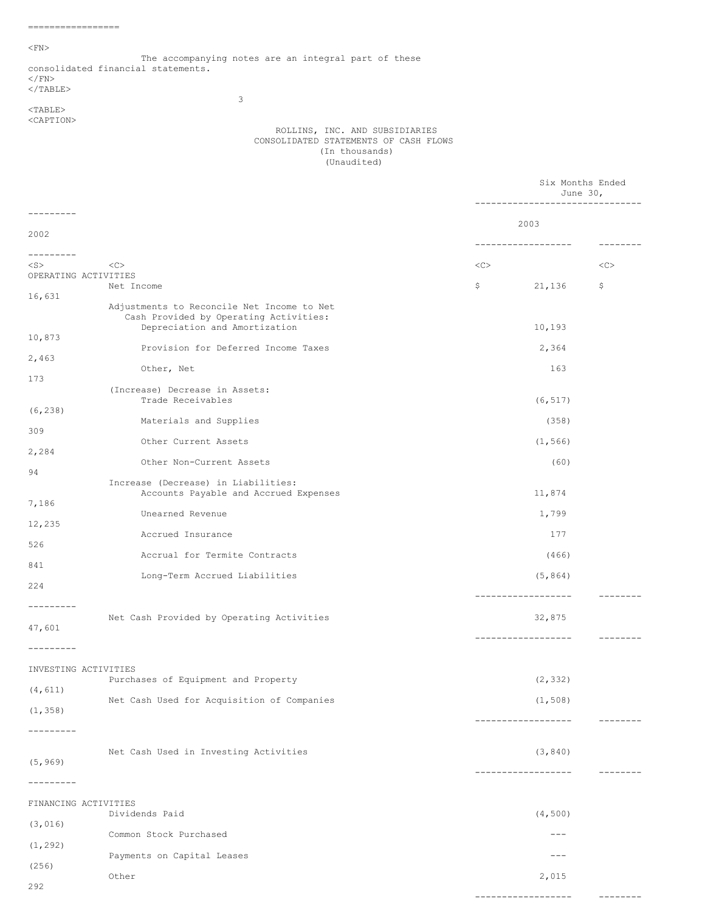=================

 ${ <\hspace{-1.5pt}{\rm FN} \hspace{-1.5pt}>}$ 

The accompanying notes are an integral part of these consolidated financial statements.  $\rm  FN>$  $\rm <$  /TABLE>

3

<TABLE>

<CAPTION>

### ROLLINS, INC. AND SUBSIDIARIES CONSOLIDATED STATEMENTS OF CASH FLOWS (In thousands) (Unaudited)

|                                                |                                                                                                                       |     | Six Months Ended<br>June $30l$<br>----------- |                   |  |  |
|------------------------------------------------|-----------------------------------------------------------------------------------------------------------------------|-----|-----------------------------------------------|-------------------|--|--|
| ---------<br>2002                              |                                                                                                                       |     | 2003<br>------------------                    | $- - - - - - - -$ |  |  |
| ---------<br>$<$ S $>$<br>OPERATING ACTIVITIES | <<                                                                                                                    | <<> |                                               | <<                |  |  |
|                                                | Net Income                                                                                                            | \$  | 21,136                                        | \$                |  |  |
| 16,631                                         | Adjustments to Reconcile Net Income to Net<br>Cash Provided by Operating Activities:<br>Depreciation and Amortization |     | 10, 193                                       |                   |  |  |
| 10,873                                         | Provision for Deferred Income Taxes                                                                                   |     | 2,364                                         |                   |  |  |
| 2,463                                          | Other, Net                                                                                                            |     | 163                                           |                   |  |  |
| 173                                            | (Increase) Decrease in Assets:<br>Trade Receivables                                                                   |     | (6, 517)                                      |                   |  |  |
| (6, 238)                                       |                                                                                                                       |     |                                               |                   |  |  |
| 309                                            | Materials and Supplies                                                                                                |     | (358)                                         |                   |  |  |
| 2,284                                          | Other Current Assets                                                                                                  |     | (1, 566)                                      |                   |  |  |
| 94                                             | Other Non-Current Assets                                                                                              |     | (60)                                          |                   |  |  |
| 7,186                                          | Increase (Decrease) in Liabilities:<br>Accounts Payable and Accrued Expenses                                          |     | 11,874                                        |                   |  |  |
|                                                | Unearned Revenue                                                                                                      |     | 1,799                                         |                   |  |  |
| 12,235<br>526                                  | Accrued Insurance                                                                                                     |     | 177                                           |                   |  |  |
| 841                                            | Accrual for Termite Contracts                                                                                         |     | (466)                                         |                   |  |  |
| 224                                            | Long-Term Accrued Liabilities                                                                                         |     | (5, 864)                                      | --------          |  |  |
| ---------<br>47,601                            | Net Cash Provided by Operating Activities                                                                             |     | 32,875<br>------------------                  | --------          |  |  |
| INVESTING ACTIVITIES                           |                                                                                                                       |     |                                               |                   |  |  |
| (4, 611)                                       | Purchases of Equipment and Property                                                                                   |     | (2, 332)                                      |                   |  |  |
| (1, 358)                                       | Net Cash Used for Acquisition of Companies                                                                            |     | (1, 508)                                      |                   |  |  |
| --------                                       |                                                                                                                       |     | -----------                                   |                   |  |  |
| (5, 969)                                       | Net Cash Used in Investing Activities                                                                                 |     | (3, 840)<br>--------------                    | --------          |  |  |
| ---------                                      |                                                                                                                       |     |                                               |                   |  |  |
| FINANCING ACTIVITIES                           | Dividends Paid                                                                                                        |     | (4, 500)                                      |                   |  |  |
| (3, 016)                                       |                                                                                                                       |     | $---$                                         |                   |  |  |
| (1, 292)                                       | Common Stock Purchased<br>Payments on Capital Leases                                                                  |     | $---$                                         |                   |  |  |
| (256)                                          |                                                                                                                       |     |                                               |                   |  |  |
| 292                                            | Other                                                                                                                 |     | 2,015                                         | --------          |  |  |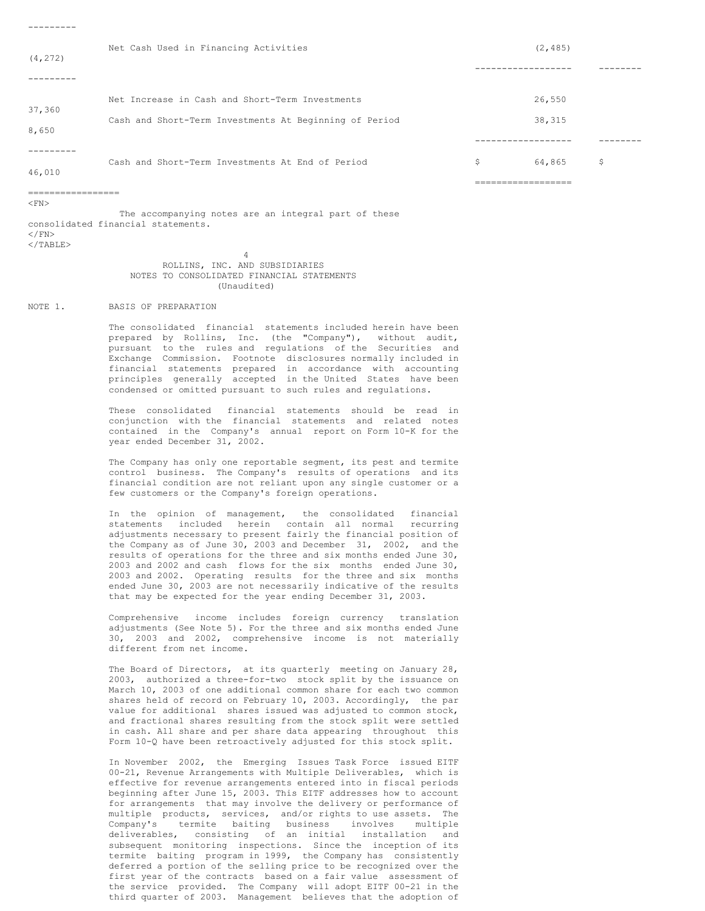---------

|          | Net Cash Used in Financing Activities                  | (2, 485)     |    |
|----------|--------------------------------------------------------|--------------|----|
| (4, 272) |                                                        |              |    |
|          |                                                        |              |    |
| 37,360   | Net Increase in Cash and Short-Term Investments        | 26,550       |    |
| 8,650    | Cash and Short-Term Investments At Beginning of Period | 38,315       |    |
|          |                                                        |              |    |
|          |                                                        |              |    |
| 46,010   | Cash and Short-Term Investments At End of Period       | \$<br>64,865 | \$ |
|          |                                                        |              |    |
|          |                                                        |              |    |

 $<$ FN $>$ 

The accompanying notes are an integral part of these consolidated financial statements.  $\langle$ /FN $>$  $\langle$ /TABLE>

# 4 ROLLINS, INC. AND SUBSIDIARIES NOTES TO CONSOLIDATED FINANCIAL STATEMENTS (Unaudited)

### NOTE 1. BASIS OF PREPARATION

The consolidated financial statements included herein have been prepared by Rollins, Inc. (the "Company"), without audit, pursuant to the rules and regulations of the Securities and Exchange Commission. Footnote disclosures normally included in financial statements prepared in accordance with accounting principles generally accepted in the United States have been condensed or omitted pursuant to such rules and regulations.

These consolidated financial statements should be read in conjunction with the financial statements and related notes contained in the Company's annual report on Form 10-K for the year ended December 31, 2002.

The Company has only one reportable segment, its pest and termite control business. The Company's results of operations and its financial condition are not reliant upon any single customer or a few customers or the Company's foreign operations.

In the opinion of management, the consolidated financial statements included herein contain all normal recurring adjustments necessary to present fairly the financial position of the Company as of June 30, 2003 and December 31, 2002, and the results of operations for the three and six months ended June 30, 2003 and 2002 and cash flows for the six months ended June 30, 2003 and 2002. Operating results for the three and six months ended June 30, 2003 are not necessarily indicative of the results that may be expected for the year ending December 31, 2003.

Comprehensive income includes foreign currency translation adjustments (See Note 5). For the three and six months ended June 30, 2003 and 2002, comprehensive income is not materially different from net income.

The Board of Directors, at its quarterly meeting on January 28, 2003, authorized a three-for-two stock split by the issuance on March 10, 2003 of one additional common share for each two common shares held of record on February 10, 2003. Accordingly, the par value for additional shares issued was adjusted to common stock, and fractional shares resulting from the stock split were settled in cash. All share and per share data appearing throughout this Form 10-Q have been retroactively adjusted for this stock split.

In November 2002, the Emerging Issues Task Force issued EITF 00-21, Revenue Arrangements with Multiple Deliverables, which is effective for revenue arrangements entered into in fiscal periods beginning after June 15, 2003. This EITF addresses how to account for arrangements that may involve the delivery or performance of multiple products, services, and/or rights to use assets. The Company's termite baiting business involves multiple deliverables, consisting of an initial installation and subsequent monitoring inspections. Since the inception of its termite baiting program in 1999, the Company has consistently deferred a portion of the selling price to be recognized over the first year of the contracts based on a fair value assessment of the service provided. The Company will adopt EITF 00-21 in the third quarter of 2003. Management believes that the adoption of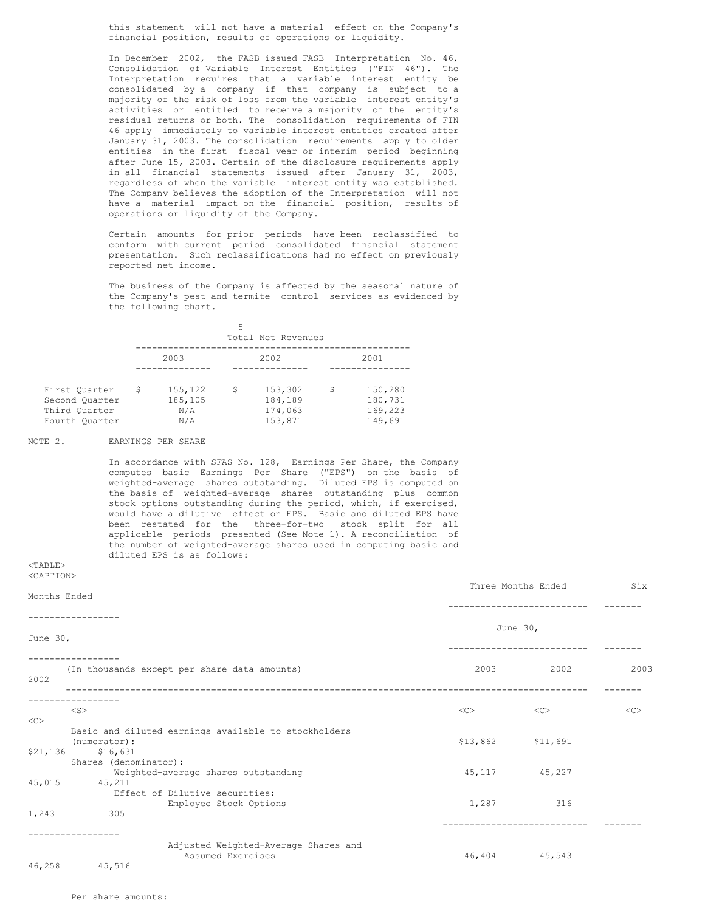this statement will not have a material effect on the Company's financial position, results of operations or liquidity.

In December 2002, the FASB issued FASB Interpretation No. 46, Consolidation of Variable Interest Entities ("FIN 46"). The Interpretation requires that a variable interest entity be consolidated by a company if that company is subject to a majority of the risk of loss from the variable interest entity's activities or entitled to receive a majority of the entity's residual returns or both. The consolidation requirements of FIN 46 apply immediately to variable interest entities created after January 31, 2003. The consolidation requirements apply to older entities in the first fiscal year or interim period beginning after June 15, 2003. Certain of the disclosure requirements apply in all financial statements issued after January 31, 2003, regardless of when the variable interest entity was established. The Company believes the adoption of the Interpretation will not have a material impact on the financial position, results of operations or liquidity of the Company.

Certain amounts for prior periods have been reclassified to conform with current period consolidated financial statement presentation. Such reclassifications had no effect on previously reported net income.

The business of the Company is affected by the seasonal nature of the Company's pest and termite control services as evidenced by the following chart.

|                                                                    |      |                                  | 5    | Total Net Revenues                       |      |                                          |
|--------------------------------------------------------------------|------|----------------------------------|------|------------------------------------------|------|------------------------------------------|
|                                                                    | 2003 |                                  | 2002 |                                          | 2001 |                                          |
| First Ouarter<br>Second Quarter<br>Third Ouarter<br>Fourth Ouarter | S    | 155,122<br>185,105<br>N/A<br>N/A | S    | 153,302<br>184,189<br>174,063<br>153,871 | \$   | 150,280<br>180,731<br>169,223<br>149,691 |

### NOTE 2. EARNINGS PER SHARE

In accordance with SFAS No. 128, Earnings Per Share, the Company computes basic Earnings Per Share ("EPS") on the basis of weighted-average shares outstanding. Diluted EPS is computed on the basis of weighted-average shares outstanding plus common stock options outstanding during the period, which, if exercised, would have a dilutive effect on EPS. Basic and diluted EPS have been restated for the three-for-two stock split for all applicable periods presented (See Note 1). A reconciliation of the number of weighted-average shares used in computing basic and diluted EPS is as follows:

<TABLE> <CAPTION>

| Months Ended<br>June 30, |                                                                               |               | Three Months Ended<br>June 30, |        |  |
|--------------------------|-------------------------------------------------------------------------------|---------------|--------------------------------|--------|--|
|                          |                                                                               |               |                                |        |  |
| 2002                     | . _ _ _ _ _ _ _ _ _ _ _ _ _ _<br>(In thousands except per share data amounts) | 2003          | 2002                           | 2003   |  |
| $\langle C \rangle$      | $<$ S>                                                                        | <<            | <<                             | $<$ C> |  |
|                          | Basic and diluted earnings available to stockholders<br>(numerator):          | \$13,862      | \$11,691                       |        |  |
| \$21,136                 | \$16,631<br>Shares (denominator):<br>Weighted-average shares outstanding      | 45, 117       | 45,227                         |        |  |
| 45,015                   | 45,211<br>Effect of Dilutive securities:<br>Employee Stock Options            | 1,287         | 316                            |        |  |
| 1,243                    | 305                                                                           |               |                                |        |  |
| 46,258                   | Adjusted Weighted-Average Shares and<br>Assumed Exercises<br>45,516           | 46,404 45,543 |                                |        |  |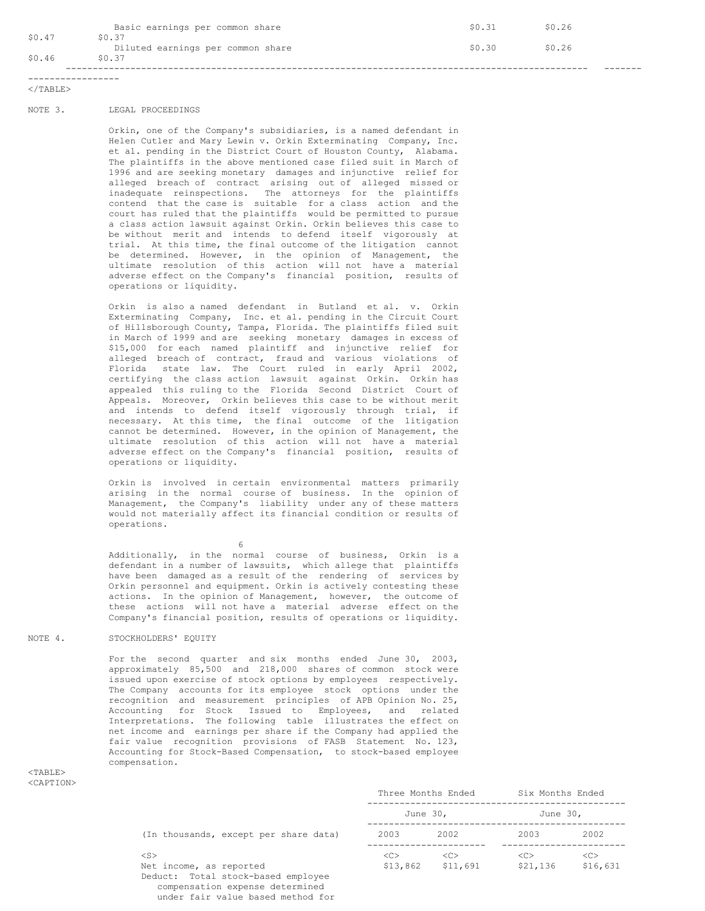| \$0.47 | Basic earnings per common share<br>\$0.37   | \$0.31 | \$0.26 |
|--------|---------------------------------------------|--------|--------|
| \$0.46 | Diluted earnings per common share<br>\$0.37 | \$0.30 | \$0.26 |
|        |                                             |        |        |

 $\langle$ /TABLE>

#### NOTE 3. LEGAL PROCEEDINGS

Orkin, one of the Company's subsidiaries, is a named defendant in Helen Cutler and Mary Lewin v. Orkin Exterminating Company, Inc. et al. pending in the District Court of Houston County, Alabama. The plaintiffs in the above mentioned case filed suit in March of 1996 and are seeking monetary damages and injunctive relief for alleged breach of contract arising out of alleged missed or inadequate reinspections. The attorneys for the plaintiffs contend that the case is suitable for a class action and the court has ruled that the plaintiffs would be permitted to pursue a class action lawsuit against Orkin. Orkin believes this case to be without merit and intends to defend itself vigorously at trial. At this time, the final outcome of the litigation cannot be determined. However, in the opinion of Management, the ultimate resolution of this action will not have a material adverse effect on the Company's financial position, results of operations or liquidity.

Orkin is also a named defendant in Butland et al. v. Orkin Exterminating Company, Inc. et al. pending in the Circuit Court of Hillsborough County, Tampa, Florida. The plaintiffs filed suit in March of 1999 and are seeking monetary damages in excess of \$15,000 for each named plaintiff and injunctive relief for alleged breach of contract, fraud and various violations of Florida state law. The Court ruled in early April 2002, certifying the class action lawsuit against Orkin. Orkin has appealed this ruling to the Florida Second District Court of Appeals. Moreover, Orkin believes this case to be without merit and intends to defend itself vigorously through trial, if necessary. At this time, the final outcome of the litigation cannot be determined. However, in the opinion of Management, the ultimate resolution of this action will not have a material adverse effect on the Company's financial position, results of operations or liquidity.

Orkin is involved in certain environmental matters primarily arising in the normal course of business. In the opinion of Management, the Company's liability under any of these matters would not materially affect its financial condition or results of operations.

6 Additionally, in the normal course of business, Orkin is a defendant in a number of lawsuits, which allege that plaintiffs have been damaged as a result of the rendering of services by Orkin personnel and equipment. Orkin is actively contesting these actions. In the opinion of Management, however, the outcome of these actions will not have a material adverse effect on the Company's financial position, results of operations or liquidity.

# NOTE 4. STOCKHOLDERS' EQUITY

For the second quarter and six months ended June 30, 2003, approximately 85,500 and 218,000 shares of common stock were issued upon exercise of stock options by employees respectively. The Company accounts for its employee stock options under the recognition and measurement principles of APB Opinion No. 25, Accounting for Stock Issued to Employees, and related Interpretations. The following table illustrates the effect on net income and earnings per share if the Company had applied the fair value recognition provisions of FASB Statement No. 123, Accounting for Stock-Based Compensation, to stock-based employee compensation.

 $<$ TABLE> <CAPTION>

|                                                                            | Three Months Ended         |                            | Six Months Ended           |                 |  |
|----------------------------------------------------------------------------|----------------------------|----------------------------|----------------------------|-----------------|--|
|                                                                            | June 30,                   |                            | June 30,                   |                 |  |
| (In thousands, except per share data)                                      | 2003                       | 2002                       | 2003                       | 2002            |  |
| $<$ S $>$<br>Net income, as reported<br>Deduct: Total stock-based employee | < <sub><br/>\$13,862</sub> | < <sub><br/>\$11,691</sub> | < <sub><br/>\$21,136</sub> | <<><br>\$16,631 |  |

compensation expense determined under fair value based method for

| June $30r$                 |                                 | June 30,                        |                          |
|----------------------------|---------------------------------|---------------------------------|--------------------------|
| 2003                       | 2002                            | 2003                            | 2002                     |
| < <sub><br/>\$13,862</sub> | $\langle C \rangle$<br>\$11,691 | $\langle C \rangle$<br>\$21,136 | $<<$ $C$ $>$<br>\$16,631 |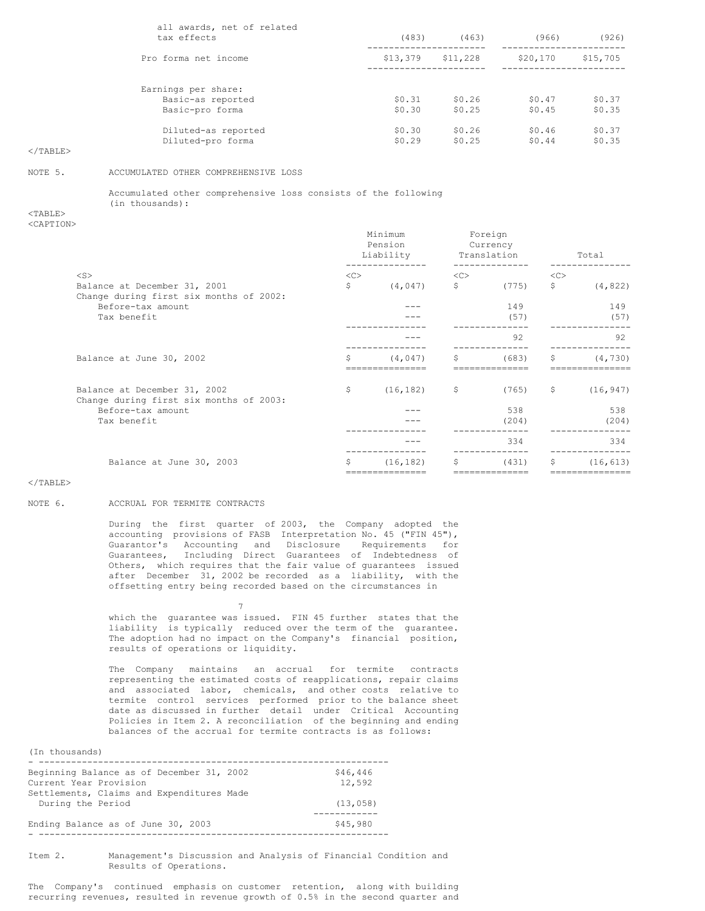|     | all awards, net of related<br>tax effects | (483)    | (463)    | (966)    | (926)    |
|-----|-------------------------------------------|----------|----------|----------|----------|
|     | Pro forma net income                      | \$13,379 | \$11,228 | \$20,170 | \$15,705 |
|     | Earnings per share:                       |          |          |          |          |
|     | Basic-as reported                         | \$0.31   | \$0.26   | \$0.47   | \$0.37   |
|     | Basic-pro forma                           | \$0.30   | \$0.25   | \$0.45   | \$0.35   |
|     | Diluted-as reported                       | \$0.30   | \$0.26   | \$0.46   | \$0.37   |
|     | Diluted-pro forma                         | \$0.29   | \$0.25   | \$0.44   | \$0.35   |
| E > |                                           |          |          |          |          |

 $<$ /TABLE

#### NOTE 5. ACCUMULATED OTHER COMPREHENSIVE LOSS

Accumulated other comprehensive loss consists of the following (in thousands):

 $<$ TABLE> <CAPTION>

|                                                                             |    | Minimum<br>Pension<br>Liability |    | Foreign<br>Currency<br>Translation |              | Total        |
|-----------------------------------------------------------------------------|----|---------------------------------|----|------------------------------------|--------------|--------------|
| $<$ S $>$                                                                   | << |                                 | << |                                    | <<           |              |
| Balance at December 31, 2001                                                | \$ | (4, 047)                        | \$ | (775)                              | \$           | (4, 822)     |
| Change during first six months of 2002:<br>Before-tax amount<br>Tax benefit |    |                                 |    | 149<br>(57)                        |              | 149<br>(57)  |
|                                                                             |    |                                 |    | 92                                 |              | 92           |
| Balance at June 30, 2002                                                    | Ŝ  | (4, 047)                        | Ŝ  | (683)                              | \$           | (4, 730)     |
| Balance at December 31, 2002<br>Change during first six months of 2003:     | \$ | (16, 182)                       | \$ | (765)                              | $\mathsf{S}$ | (16, 947)    |
| Before-tax amount<br>Tax benefit                                            |    |                                 |    | 538<br>(204)                       |              | 538<br>(204) |
|                                                                             |    |                                 |    | 334                                |              | 334          |
| Balance at June 30, 2003                                                    | Ŝ. | (16, 182)                       | Ŝ  | (431)                              | \$           | (16, 613)    |
|                                                                             |    |                                 |    |                                    |              |              |

# $<$ /TABLE>

### NOTE 6. ACCRUAL FOR TERMITE CONTRACTS

During the first quarter of 2003, the Company adopted the accounting provisions of FASB Interpretation No. 45 ("FIN 45"), Guarantor's Accounting and Disclosure Requirements for Guarantees, Including Direct Guarantees of Indebtedness of Others, which requires that the fair value of guarantees issued after December 31, 2002 be recorded as a liability, with the offsetting entry being recorded based on the circumstances in

which the guarantee was issued. FIN 45 further states that the liability is typically reduced over the term of the guarantee. The adoption had no impact on the Company's financial position, results of operations or liquidity.

7

The Company maintains an accrual for termite contracts representing the estimated costs of reapplications, repair claims and associated labor, chemicals, and other costs relative to termite control services performed prior to the balance sheet date as discussed in further detail under Critical Accounting Policies in Item 2. A reconciliation of the beginning and ending balances of the accrual for termite contracts is as follows:

# (In thousands)

| Beginning Balance as of December 31, 2002 | \$46,446  |
|-------------------------------------------|-----------|
| Current Year Provision                    | 12,592    |
| Settlements, Claims and Expenditures Made |           |
| During the Period                         | (13, 058) |
|                                           |           |
| Ending Balance as of June 30, 2003        | \$45,980  |
|                                           |           |

Item 2. Management's Discussion and Analysis of Financial Condition and Results of Operations.

The Company's continued emphasis on customer retention, along with building recurring revenues, resulted in revenue growth of 0.5% in the second quarter and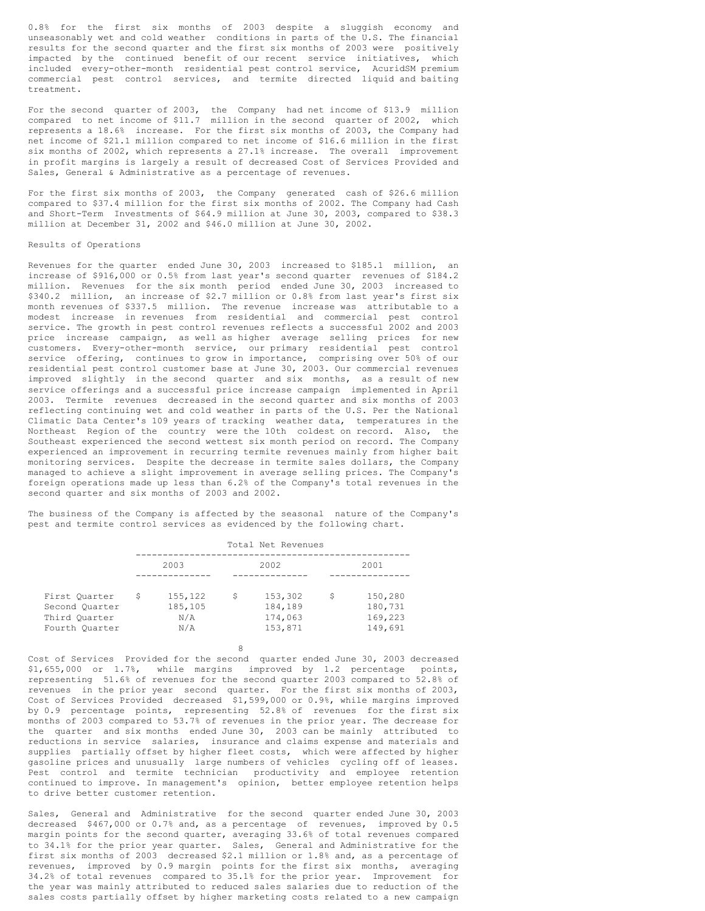0.8% for the first six months of 2003 despite a sluggish economy and unseasonably wet and cold weather conditions in parts of the U.S. The financial results for the second quarter and the first six months of 2003 were positively impacted by the continued benefit of our recent service initiatives, which included every-other-month residential pest control service, AcuridSM premium commercial pest control services, and termite directed liquid and baiting treatment.

For the second quarter of 2003, the Company had net income of \$13.9 million compared to net income of \$11.7 million in the second quarter of 2002, which represents a 18.6% increase. For the first six months of 2003, the Company had net income of \$21.1 million compared to net income of \$16.6 million in the first six months of 2002, which represents a 27.1% increase. The overall improvement in profit margins is largely a result of decreased Cost of Services Provided and Sales, General & Administrative as a percentage of revenues.

For the first six months of 2003, the Company generated cash of \$26.6 million compared to \$37.4 million for the first six months of 2002. The Company had Cash and Short-Term Investments of \$64.9 million at June 30, 2003, compared to \$38.3 million at December 31, 2002 and \$46.0 million at June 30, 2002.

#### Results of Operations

Revenues for the quarter ended June 30, 2003 increased to \$185.1 million, an increase of \$916,000 or 0.5% from last year's second quarter revenues of \$184.2 million. Revenues for the six month period ended June 30, 2003 increased to \$340.2 million, an increase of \$2.7 million or 0.8% from last year's first six month revenues of \$337.5 million. The revenue increase was attributable to a modest increase in revenues from residential and commercial pest control service. The growth in pest control revenues reflects a successful 2002 and 2003 price increase campaign, as well as higher average selling prices for new customers. Every-other-month service, our primary residential pest control service offering, continues to grow in importance, comprising over 50% of our residential pest control customer base at June 30, 2003. Our commercial revenues improved slightly in the second quarter and six months, as a result of new service offerings and a successful price increase campaign implemented in April 2003. Termite revenues decreased in the second quarter and six months of 2003 reflecting continuing wet and cold weather in parts of the U.S. Per the National Climatic Data Center's 109 years of tracking weather data, temperatures in the Northeast Region of the country were the 10th coldest on record. Also, the Southeast experienced the second wettest six month period on record. The Company experienced an improvement in recurring termite revenues mainly from higher bait monitoring services. Despite the decrease in termite sales dollars, the Company managed to achieve a slight improvement in average selling prices. The Company's foreign operations made up less than 6.2% of the Company's total revenues in the second quarter and six months of 2003 and 2002.

The business of the Company is affected by the seasonal nature of the Company's pest and termite control services as evidenced by the following chart.

|                                                                    | Total Net Revenues |                                  |      |                                          |    |                                          |  |
|--------------------------------------------------------------------|--------------------|----------------------------------|------|------------------------------------------|----|------------------------------------------|--|
|                                                                    | 2003               |                                  | 2002 |                                          |    | 2001                                     |  |
| First Ouarter<br>Second Quarter<br>Third Ouarter<br>Fourth Ouarter | S                  | 155,122<br>185,105<br>N/A<br>N/A | S    | 153,302<br>184,189<br>174,063<br>153,871 | Ŝ. | 150,280<br>180,731<br>169,223<br>149,691 |  |

8

Cost of Services Provided for the second quarter ended June 30, 2003 decreased \$1,655,000 or 1.7%, while margins improved by 1.2 percentage points, representing 51.6% of revenues for the second quarter 2003 compared to 52.8% of revenues in the prior year second quarter. For the first six months of 2003, Cost of Services Provided decreased \$1,599,000 or 0.9%, while margins improved by 0.9 percentage points, representing 52.8% of revenues for the first six months of 2003 compared to 53.7% of revenues in the prior year. The decrease for the quarter and six months ended June 30, 2003 can be mainly attributed to reductions in service salaries, insurance and claims expense and materials and supplies partially offset by higher fleet costs, which were affected by higher gasoline prices and unusually large numbers of vehicles cycling off of leases. Pest control and termite technician productivity and employee retention continued to improve. In management's opinion, better employee retention helps to drive better customer retention.

Sales, General and Administrative for the second quarter ended June 30, 2003 decreased \$467,000 or 0.7% and, as a percentage of revenues, improved by 0.5 margin points for the second quarter, averaging 33.6% of total revenues compared to 34.1% for the prior year quarter. Sales, General and Administrative for the first six months of 2003 decreased \$2.1 million or 1.8% and, as a percentage of revenues, improved by 0.9 margin points for the first six months, averaging 34.2% of total revenues compared to 35.1% for the prior year. Improvement for the year was mainly attributed to reduced sales salaries due to reduction of the sales costs partially offset by higher marketing costs related to a new campaign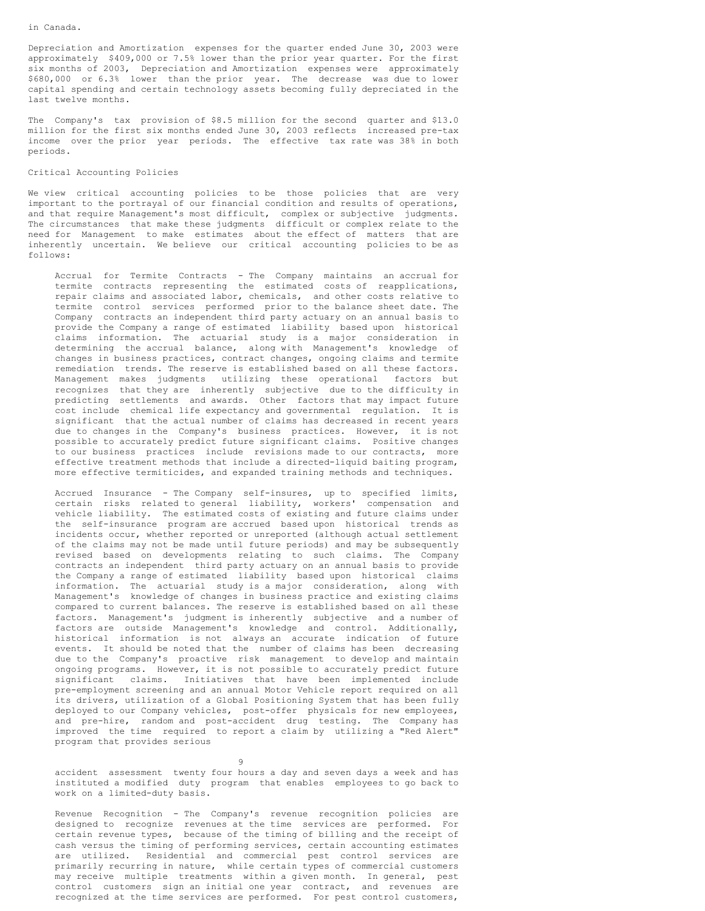in Canada.

Depreciation and Amortization expenses for the quarter ended June 30, 2003 were approximately \$409,000 or 7.5% lower than the prior year quarter. For the first six months of 2003, Depreciation and Amortization expenses were approximately \$680,000 or 6.3% lower than the prior year. The decrease was due to lower capital spending and certain technology assets becoming fully depreciated in the last twelve months.

The Company's tax provision of \$8.5 million for the second quarter and \$13.0 million for the first six months ended June 30, 2003 reflects increased pre-tax income over the prior year periods. The effective tax rate was 38% in both periods.

### Critical Accounting Policies

We view critical accounting policies to be those policies that are very important to the portrayal of our financial condition and results of operations, and that require Management's most difficult, complex or subjective judgments. The circumstances that make these judgments difficult or complex relate to the need for Management to make estimates about the effect of matters that are inherently uncertain. We believe our critical accounting policies to be as follows:

Accrual for Termite Contracts - The Company maintains an accrual for termite contracts representing the estimated costs of reapplications, repair claims and associated labor, chemicals, and other costs relative to termite control services performed prior to the balance sheet date. The Company contracts an independent third party actuary on an annual basis to provide the Company a range of estimated liability based upon historical claims information. The actuarial study is a major consideration in determining the accrual balance, along with Management's knowledge of changes in business practices, contract changes, ongoing claims and termite remediation trends. The reserve is established based on all these factors. Management makes judgments utilizing these operational factors but recognizes that they are inherently subjective due to the difficulty in predicting settlements and awards. Other factors that may impact future cost include chemical life expectancy and governmental regulation. It is significant that the actual number of claims has decreased in recent years due to changes in the Company's business practices. However, it is not possible to accurately predict future significant claims. Positive changes to our business practices include revisions made to our contracts, more effective treatment methods that include a directed-liquid baiting program, more effective termiticides, and expanded training methods and techniques.

Accrued Insurance - The Company self-insures, up to specified limits, certain risks related to general liability, workers' compensation and vehicle liability. The estimated costs of existing and future claims under the self-insurance program are accrued based upon historical trends as incidents occur, whether reported or unreported (although actual settlement of the claims may not be made until future periods) and may be subsequently revised based on developments relating to such claims. The Company contracts an independent third party actuary on an annual basis to provide the Company a range of estimated liability based upon historical claims information. The actuarial study is a major consideration, along with Management's knowledge of changes in business practice and existing claims compared to current balances. The reserve is established based on all these factors. Management's judgment is inherently subjective and a number of factors are outside Management's knowledge and control. Additionally, historical information is not always an accurate indication of future events. It should be noted that the number of claims has been decreasing due to the Company's proactive risk management to develop and maintain ongoing programs. However, it is not possible to accurately predict future significant claims. Initiatives that have been implemented include pre-employment screening and an annual Motor Vehicle report required on all its drivers, utilization of a Global Positioning System that has been fully deployed to our Company vehicles, post-offer physicals for new employees, and pre-hire, random and post-accident drug testing. The Company has improved the time required to report a claim by utilizing a "Red Alert" program that provides serious

9

accident assessment twenty four hours a day and seven days a week and has instituted a modified duty program that enables employees to go back to work on a limited-duty basis.

Revenue Recognition - The Company's revenue recognition policies are designed to recognize revenues at the time services are performed. For certain revenue types, because of the timing of billing and the receipt of cash versus the timing of performing services, certain accounting estimates are utilized. Residential and commercial pest control services are primarily recurring in nature, while certain types of commercial customers may receive multiple treatments within a given month. In general, pest control customers sign an initial one year contract, and revenues are recognized at the time services are performed. For pest control customers,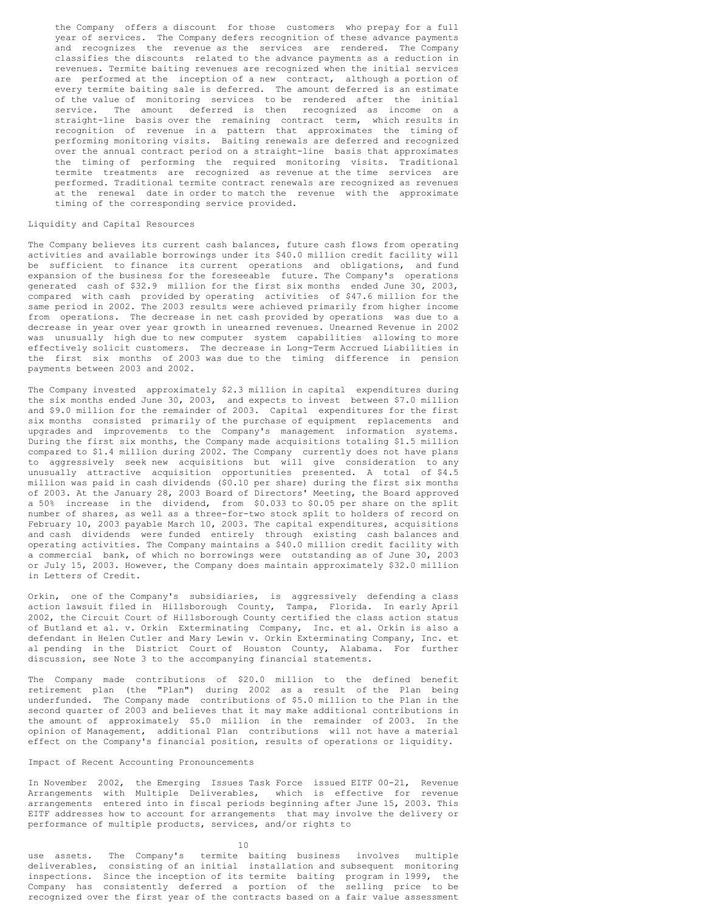the Company offers a discount for those customers who prepay for a full year of services. The Company defers recognition of these advance payments and recognizes the revenue as the services are rendered. The Company classifies the discounts related to the advance payments as a reduction in revenues. Termite baiting revenues are recognized when the initial services are performed at the inception of a new contract, although a portion of every termite baiting sale is deferred. The amount deferred is an estimate of the value of monitoring services to be rendered after the initial service. The amount deferred is then recognized as income on a straight-line basis over the remaining contract term, which results in recognition of revenue in a pattern that approximates the timing of performing monitoring visits. Baiting renewals are deferred and recognized over the annual contract period on a straight-line basis that approximates the timing of performing the required monitoring visits. Traditional termite treatments are recognized as revenue at the time services are performed. Traditional termite contract renewals are recognized as revenues at the renewal date in order to match the revenue with the approximate timing of the corresponding service provided.

#### Liquidity and Capital Resources

The Company believes its current cash balances, future cash flows from operating activities and available borrowings under its \$40.0 million credit facility will be sufficient to finance its current operations and obligations, and fund expansion of the business for the foreseeable future. The Company's operations generated cash of \$32.9 million for the first six months ended June 30, 2003, compared with cash provided by operating activities of \$47.6 million for the same period in 2002. The 2003 results were achieved primarily from higher income from operations. The decrease in net cash provided by operations was due to a decrease in year over year growth in unearned revenues. Unearned Revenue in 2002 was unusually high due to new computer system capabilities allowing to more effectively solicit customers. The decrease in Long-Term Accrued Liabilities in the first six months of 2003 was due to the timing difference in pension payments between 2003 and 2002.

The Company invested approximately \$2.3 million in capital expenditures during the six months ended June 30, 2003, and expects to invest between \$7.0 million and \$9.0 million for the remainder of 2003. Capital expenditures for the first six months consisted primarily of the purchase of equipment replacements and upgrades and improvements to the Company's management information systems. During the first six months, the Company made acquisitions totaling \$1.5 million compared to \$1.4 million during 2002. The Company currently does not have plans to aggressively seek new acquisitions but will give consideration to any unusually attractive acquisition opportunities presented. A total of \$4.5 million was paid in cash dividends (\$0.10 per share) during the first six months of 2003. At the January 28, 2003 Board of Directors' Meeting, the Board approved a 50% increase in the dividend, from \$0.033 to \$0.05 per share on the split number of shares, as well as a three-for-two stock split to holders of record on February 10, 2003 payable March 10, 2003. The capital expenditures, acquisitions and cash dividends were funded entirely through existing cash balances and operating activities. The Company maintains a \$40.0 million credit facility with a commercial bank, of which no borrowings were outstanding as of June 30, 2003 or July 15, 2003. However, the Company does maintain approximately \$32.0 million in Letters of Credit.

Orkin, one of the Company's subsidiaries, is aggressively defending a class action lawsuit filed in Hillsborough County, Tampa, Florida. In early April 2002, the Circuit Court of Hillsborough County certified the class action status of Butland et al. v. Orkin Exterminating Company, Inc. et al. Orkin is also a defendant in Helen Cutler and Mary Lewin v. Orkin Exterminating Company, Inc. et al pending in the District Court of Houston County, Alabama. For further discussion, see Note 3 to the accompanying financial statements.

The Company made contributions of \$20.0 million to the defined benefit retirement plan (the "Plan") during 2002 as a result of the Plan being underfunded. The Company made contributions of \$5.0 million to the Plan in the second quarter of 2003 and believes that it may make additional contributions in the amount of approximately \$5.0 million in the remainder of 2003. In the opinion of Management, additional Plan contributions will not have a material effect on the Company's financial position, results of operations or liquidity.

#### Impact of Recent Accounting Pronouncements

In November 2002, the Emerging Issues Task Force issued EITF 00-21, Revenue Arrangements with Multiple Deliverables, which is effective for revenue arrangements entered into in fiscal periods beginning after June 15, 2003. This EITF addresses how to account for arrangements that may involve the delivery or performance of multiple products, services, and/or rights to

10

use assets. The Company's termite baiting business involves multiple deliverables, consisting of an initial installation and subsequent monitoring inspections. Since the inception of its termite baiting program in 1999, the Company has consistently deferred a portion of the selling price to be recognized over the first year of the contracts based on a fair value assessment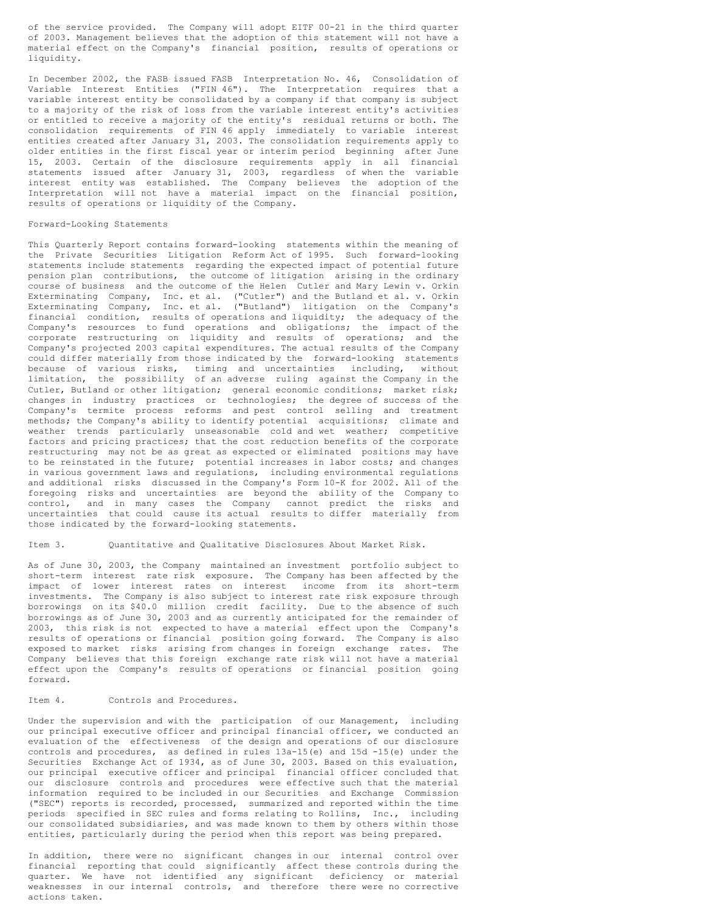of the service provided. The Company will adopt EITF 00-21 in the third quarter of 2003. Management believes that the adoption of this statement will not have a material effect on the Company's financial position, results of operations or liquidity.

In December 2002, the FASB issued FASB Interpretation No. 46, Consolidation of Variable Interest Entities ("FIN 46"). The Interpretation requires that a variable interest entity be consolidated by a company if that company is subject to a majority of the risk of loss from the variable interest entity's activities or entitled to receive a majority of the entity's residual returns or both. The consolidation requirements of FIN 46 apply immediately to variable interest entities created after January 31, 2003. The consolidation requirements apply to older entities in the first fiscal year or interim period beginning after June 15, 2003. Certain of the disclosure requirements apply in all financial statements issued after January 31, 2003, regardless of when the variable interest entity was established. The Company believes the adoption of the Interpretation will not have a material impact on the financial position, results of operations or liquidity of the Company.

### Forward-Looking Statements

This Quarterly Report contains forward-looking statements within the meaning of the Private Securities Litigation Reform Act of 1995. Such forward-looking statements include statements regarding the expected impact of potential future pension plan contributions, the outcome of litigation arising in the ordinary course of business and the outcome of the Helen Cutler and Mary Lewin v. Orkin Exterminating Company, Inc. et al. ("Cutler") and the Butland et al. v. Orkin Exterminating Company, Inc. et al. ("Butland") litigation on the Company's financial condition, results of operations and liquidity; the adequacy of the Company's resources to fund operations and obligations; the impact of the corporate restructuring on liquidity and results of operations; and the Company's projected 2003 capital expenditures. The actual results of the Company could differ materially from those indicated by the forward-looking statements because of various risks, timing and uncertainties including, without limitation, the possibility of an adverse ruling against the Company in the Cutler, Butland or other litigation; general economic conditions; market risk; changes in industry practices or technologies; the degree of success of the Company's termite process reforms and pest control selling and treatment methods; the Company's ability to identify potential acquisitions; climate and weather trends particularly unseasonable cold and wet weather; competitive factors and pricing practices; that the cost reduction benefits of the corporate restructuring may not be as great as expected or eliminated positions may have to be reinstated in the future; potential increases in labor costs; and changes in various government laws and regulations, including environmental regulations and additional risks discussed in the Company's Form 10-K for 2002. All of the foregoing risks and uncertainties are beyond the ability of the Company to control, and in many cases the Company cannot predict the risks and uncertainties that could cause its actual results to differ materially from those indicated by the forward-looking statements.

### Item 3. Quantitative and Qualitative Disclosures About Market Risk.

As of June 30, 2003, the Company maintained an investment portfolio subject to short-term interest rate risk exposure. The Company has been affected by the impact of lower interest rates on interest income from its short-term investments. The Company is also subject to interest rate risk exposure through borrowings on its \$40.0 million credit facility. Due to the absence of such borrowings as of June 30, 2003 and as currently anticipated for the remainder of 2003, this risk is not expected to have a material effect upon the Company's results of operations or financial position going forward. The Company is also exposed to market risks arising from changes in foreign exchange rates. The Company believes that this foreign exchange rate risk will not have a material effect upon the Company's results of operations or financial position going forward.

# Item 4. Controls and Procedures.

Under the supervision and with the participation of our Management, including our principal executive officer and principal financial officer, we conducted an evaluation of the effectiveness of the design and operations of our disclosure controls and procedures, as defined in rules 13a-15(e) and 15d -15(e) under the Securities Exchange Act of 1934, as of June 30, 2003. Based on this evaluation, our principal executive officer and principal financial officer concluded that our disclosure controls and procedures were effective such that the material information required to be included in our Securities and Exchange Commission ("SEC") reports is recorded, processed, summarized and reported within the time periods specified in SEC rules and forms relating to Rollins, Inc., including our consolidated subsidiaries, and was made known to them by others within those entities, particularly during the period when this report was being prepared.

In addition, there were no significant changes in our internal control over financial reporting that could significantly affect these controls during the quarter. We have not identified any significant deficiency or material weaknesses in our internal controls, and therefore there were no corrective actions taken.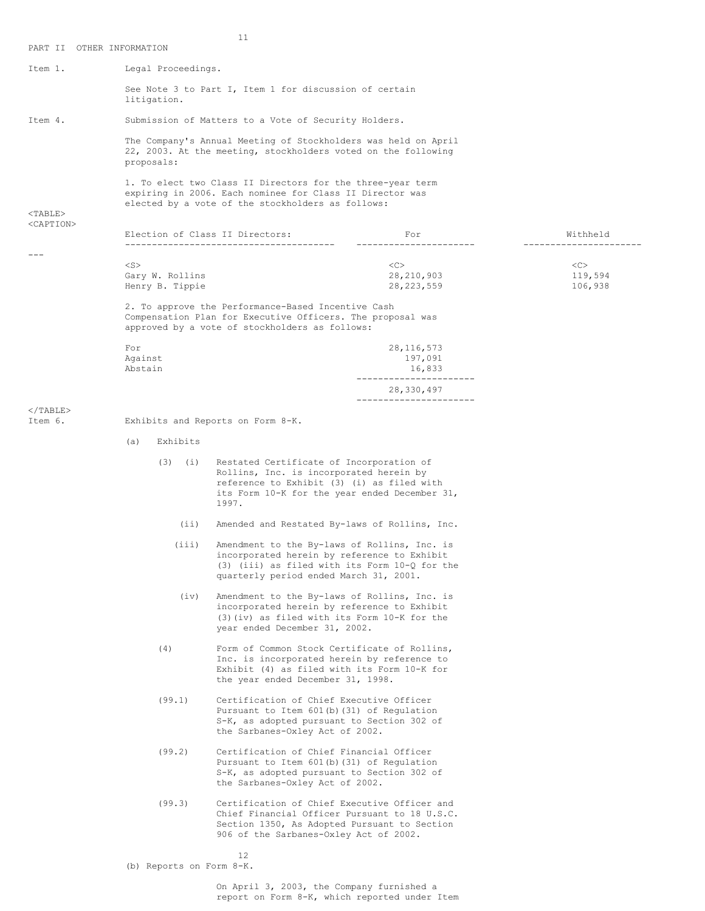| PART II OTHER INFORMATION    |                                                                                                                                               |                                                                                                                                                                                             |                                      |                           |  |  |
|------------------------------|-----------------------------------------------------------------------------------------------------------------------------------------------|---------------------------------------------------------------------------------------------------------------------------------------------------------------------------------------------|--------------------------------------|---------------------------|--|--|
| Item 1.                      | Legal Proceedings.                                                                                                                            |                                                                                                                                                                                             |                                      |                           |  |  |
|                              | See Note 3 to Part I, Item 1 for discussion of certain<br>litigation.                                                                         |                                                                                                                                                                                             |                                      |                           |  |  |
| Item 4.                      | Submission of Matters to a Vote of Security Holders.                                                                                          |                                                                                                                                                                                             |                                      |                           |  |  |
|                              | The Company's Annual Meeting of Stockholders was held on April<br>22, 2003. At the meeting, stockholders voted on the following<br>proposals: |                                                                                                                                                                                             |                                      |                           |  |  |
| $<$ TABLE>                   |                                                                                                                                               | 1. To elect two Class II Directors for the three-year term<br>expiring in 2006. Each nominee for Class II Director was<br>elected by a vote of the stockholders as follows:                 |                                      |                           |  |  |
| <caption></caption>          | Election of Class II Directors:                                                                                                               | Withheld                                                                                                                                                                                    |                                      |                           |  |  |
| $-- -$                       |                                                                                                                                               |                                                                                                                                                                                             | For                                  | ----------------------    |  |  |
|                              | $<$ S $>$<br>Gary W. Rollins<br>Henry B. Tippie                                                                                               |                                                                                                                                                                                             | <<<br>28, 210, 903<br>28, 223, 559   | <<><br>119,594<br>106,938 |  |  |
|                              |                                                                                                                                               | 2. To approve the Performance-Based Incentive Cash<br>Compensation Plan for Executive Officers. The proposal was<br>approved by a vote of stockholders as follows:                          |                                      |                           |  |  |
|                              | For<br>Against<br>Abstain                                                                                                                     |                                                                                                                                                                                             | 28, 116, 573<br>197,091<br>16,833    |                           |  |  |
|                              |                                                                                                                                               |                                                                                                                                                                                             | ----------------------<br>28,330,497 |                           |  |  |
| $\langle$ /TABLE><br>Item 6. |                                                                                                                                               | Exhibits and Reports on Form 8-K.                                                                                                                                                           | ----------------------               |                           |  |  |
|                              | Exhibits<br>(a)                                                                                                                               |                                                                                                                                                                                             |                                      |                           |  |  |
|                              | $(3)$ $(i)$                                                                                                                                   | Restated Certificate of Incorporation of<br>Rollins, Inc. is incorporated herein by<br>reference to Exhibit (3) (i) as filed with<br>its Form 10-K for the year ended December 31,<br>1997. |                                      |                           |  |  |
|                              | (iii)                                                                                                                                         | Amended and Restated By-laws of Rollins, Inc.                                                                                                                                               |                                      |                           |  |  |
|                              | (iii)                                                                                                                                         | Amendment to the By-laws of Rollins, Inc. is<br>incorporated herein by reference to Exhibit<br>$(3)$ (iii) as filed with its Form $10-Q$ for the<br>quarterly period ended March 31, 2001.  |                                      |                           |  |  |
|                              | (iv)                                                                                                                                          | Amendment to the By-laws of Rollins, Inc. is<br>incorporated herein by reference to Exhibit<br>(3) (iv) as filed with its Form 10-K for the<br>year ended December 31, 2002.                |                                      |                           |  |  |
|                              | (4)                                                                                                                                           | Form of Common Stock Certificate of Rollins,<br>Inc. is incorporated herein by reference to<br>Exhibit (4) as filed with its Form 10-K for<br>the year ended December 31, 1998.             |                                      |                           |  |  |
|                              | (99.1)                                                                                                                                        | Certification of Chief Executive Officer<br>Pursuant to Item 601(b) (31) of Regulation<br>S-K, as adopted pursuant to Section 302 of<br>the Sarbanes-Oxley Act of 2002.                     |                                      |                           |  |  |
|                              | (99.2)                                                                                                                                        | Certification of Chief Financial Officer<br>Pursuant to Item 601(b) (31) of Regulation<br>S-K, as adopted pursuant to Section 302 of<br>the Sarbanes-Oxley Act of 2002.                     |                                      |                           |  |  |
|                              | (99.3)                                                                                                                                        | Certification of Chief Executive Officer and<br>Chief Financial Officer Pursuant to 18 U.S.C.<br>Section 1350, As Adopted Pursuant to Section<br>906 of the Sarbanes-Oxley Act of 2002.     |                                      |                           |  |  |
|                              | (b) Reports on Form 8-K.                                                                                                                      | 12                                                                                                                                                                                          |                                      |                           |  |  |

11

On April 3, 2003, the Company furnished a report on Form 8-K, which reported under Item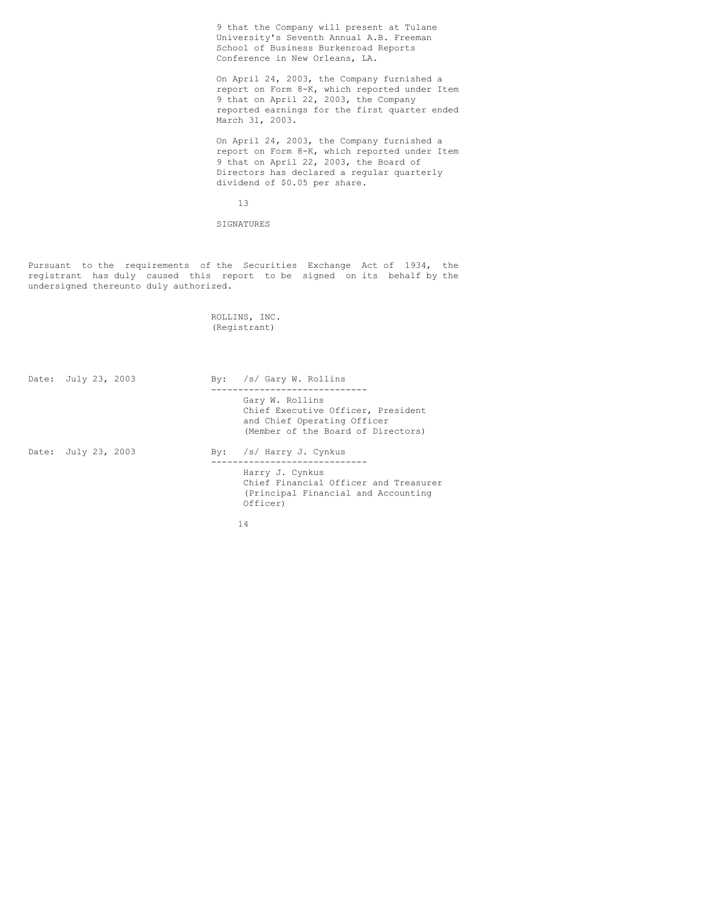9 that the Company will present at Tulane University's Seventh Annual A.B. Freeman School of Business Burkenroad Reports Conference in New Orleans, LA.

On April 24, 2003, the Company furnished a report on Form 8-K, which reported under Item 9 that on April 22, 2003, the Company reported earnings for the first quarter ended March 31, 2003.

On April 24, 2003, the Company furnished a report on Form 8-K, which reported under Item 9 that on April 22, 2003, the Board of Directors has declared a regular quarterly dividend of \$0.05 per share.

13

SIGNATURES

Pursuant to the requirements of the Securities Exchange Act of 1934, the registrant has duly caused this report to be signed on its behalf by the undersigned thereunto duly authorized.

> ROLLINS, INC. (Registrant)

Date: July 23, 2003 By: /s/ Gary W. Rollins ----------------------------- Gary W. Rollins Chief Executive Officer, President and Chief Operating Officer (Member of the Board of Directors) Date: July 23, 2003 By: /s/ Harry J. Cynkus ----------------------------- Harry J. Cynkus Chief Financial Officer and Treasurer (Principal Financial and Accounting Officer)

14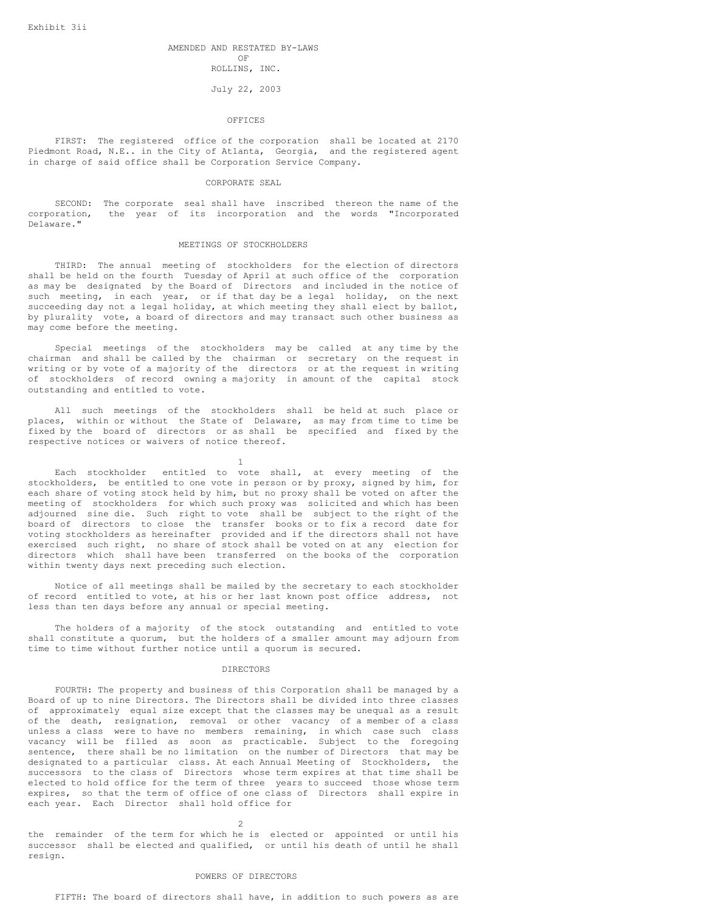# AMENDED AND RESTATED BY-LAWS OF ROLLINS, INC.

July 22, 2003

### OFFICES

FIRST: The registered office of the corporation shall be located at 2170 Piedmont Road, N.E.. in the City of Atlanta, Georgia, and the registered agent in charge of said office shall be Corporation Service Company.

# CORPORATE SEAL

SECOND: The corporate seal shall have inscribed thereon the name of the corporation, the year of its incorporation and the words "Incorporated Delaware."

### MEETINGS OF STOCKHOLDERS

THIRD: The annual meeting of stockholders for the election of directors shall be held on the fourth Tuesday of April at such office of the corporation as may be designated by the Board of Directors and included in the notice of such meeting, in each year, or if that day be a legal holiday, on the next succeeding day not a legal holiday, at which meeting they shall elect by ballot, by plurality vote, a board of directors and may transact such other business as may come before the meeting.

Special meetings of the stockholders may be called at any time by the chairman and shall be called by the chairman or secretary on the request in writing or by vote of a majority of the directors or at the request in writing of stockholders of record owning a majority in amount of the capital stock outstanding and entitled to vote.

All such meetings of the stockholders shall be held at such place or places, within or without the State of Delaware, as may from time to time be fixed by the board of directors or as shall be specified and fixed by the respective notices or waivers of notice thereof.

1

Each stockholder entitled to vote shall, at every meeting of the stockholders, be entitled to one vote in person or by proxy, signed by him, for each share of voting stock held by him, but no proxy shall be voted on after the meeting of stockholders for which such proxy was solicited and which has been adjourned sine die. Such right to vote shall be subject to the right of the board of directors to close the transfer books or to fix a record date for voting stockholders as hereinafter provided and if the directors shall not have exercised such right, no share of stock shall be voted on at any election for directors which shall have been transferred on the books of the corporation within twenty days next preceding such election.

Notice of all meetings shall be mailed by the secretary to each stockholder of record entitled to vote, at his or her last known post office address, not less than ten days before any annual or special meeting.

The holders of a majority of the stock outstanding and entitled to vote shall constitute a quorum, but the holders of a smaller amount may adjourn from time to time without further notice until a quorum is secured.

### DIRECTORS

FOURTH: The property and business of this Corporation shall be managed by a Board of up to nine Directors. The Directors shall be divided into three classes of approximately equal size except that the classes may be unequal as a result of the death, resignation, removal or other vacancy of a member of a class unless a class were to have no members remaining, in which case such class vacancy will be filled as soon as practicable. Subject to the foregoing sentence, there shall be no limitation on the number of Directors that may be designated to a particular class. At each Annual Meeting of Stockholders, the successors to the class of Directors whose term expires at that time shall be elected to hold office for the term of three years to succeed those whose term expires, so that the term of office of one class of Directors shall expire in each year. Each Director shall hold office for

 $\mathcal{D}$ the remainder of the term for which he is elected or appointed or until his successor shall be elected and qualified, or until his death of until he shall resign.

#### POWERS OF DIRECTORS

FIFTH: The board of directors shall have, in addition to such powers as are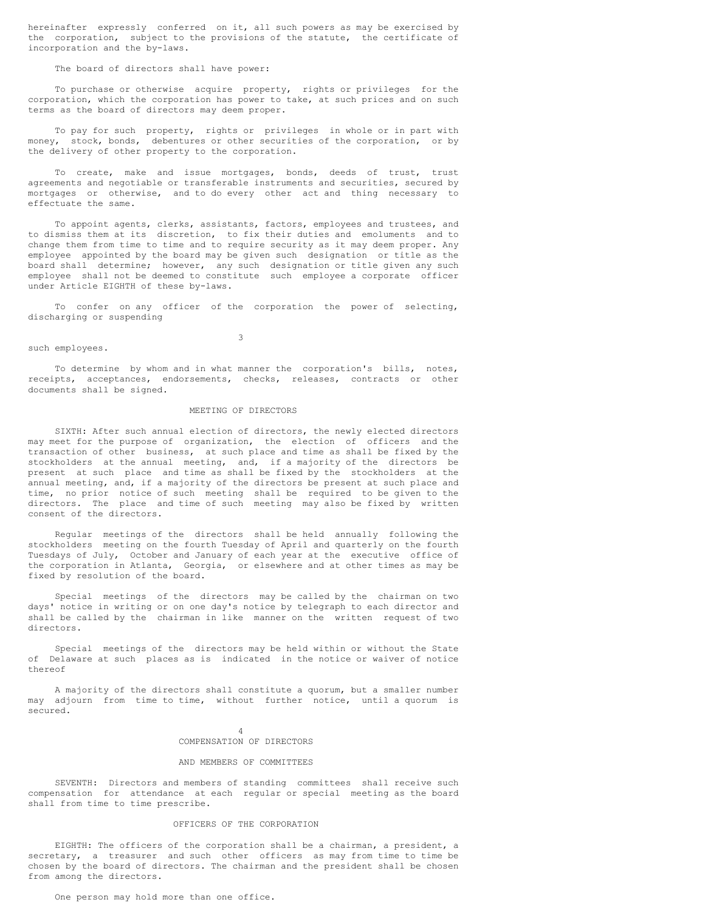hereinafter expressly conferred on it, all such powers as may be exercised by the corporation, subject to the provisions of the statute, the certificate of incorporation and the by-laws.

#### The board of directors shall have power:

To purchase or otherwise acquire property, rights or privileges for the corporation, which the corporation has power to take, at such prices and on such terms as the board of directors may deem proper.

To pay for such property, rights or privileges in whole or in part with money, stock, bonds, debentures or other securities of the corporation, or by the delivery of other property to the corporation.

To create, make and issue mortgages, bonds, deeds of trust, trust agreements and negotiable or transferable instruments and securities, secured by mortgages or otherwise, and to do every other act and thing necessary to effectuate the same.

To appoint agents, clerks, assistants, factors, employees and trustees, and to dismiss them at its discretion, to fix their duties and emoluments and to change them from time to time and to require security as it may deem proper. Any employee appointed by the board may be given such designation or title as the board shall determine; however, any such designation or title given any such employee shall not be deemed to constitute such employee a corporate officer under Article EIGHTH of these by-laws.

To confer on any officer of the corporation the power of selecting, discharging or suspending

#### 3

### such employees.

To determine by whom and in what manner the corporation's bills, notes, receipts, acceptances, endorsements, checks, releases, contracts or other documents shall be signed.

### MEETING OF DIRECTORS

SIXTH: After such annual election of directors, the newly elected directors may meet for the purpose of organization, the election of officers and the transaction of other business, at such place and time as shall be fixed by the stockholders at the annual meeting, and, if a majority of the directors be present at such place and time as shall be fixed by the stockholders at the annual meeting, and, if a majority of the directors be present at such place and time, no prior notice of such meeting shall be required to be given to the directors. The place and time of such meeting may also be fixed by written consent of the directors.

Regular meetings of the directors shall be held annually following the stockholders meeting on the fourth Tuesday of April and quarterly on the fourth Tuesdays of July, October and January of each year at the executive office of the corporation in Atlanta, Georgia, or elsewhere and at other times as may be fixed by resolution of the board.

Special meetings of the directors may be called by the chairman on two days' notice in writing or on one day's notice by telegraph to each director and shall be called by the chairman in like manner on the written request of two directors.

Special meetings of the directors may be held within or without the State of Delaware at such places as is indicated in the notice or waiver of notice thereof

A majority of the directors shall constitute a quorum, but a smaller number may adjourn from time to time, without further notice, until a quorum is secured.

# 4 COMPENSATION OF DIRECTORS

#### AND MEMBERS OF COMMITTEES

SEVENTH: Directors and members of standing committees shall receive such compensation for attendance at each regular or special meeting as the board shall from time to time prescribe.

# OFFICERS OF THE CORPORATION

EIGHTH: The officers of the corporation shall be a chairman, a president, a secretary, a treasurer and such other officers as may from time to time be chosen by the board of directors. The chairman and the president shall be chosen from among the directors.

One person may hold more than one office.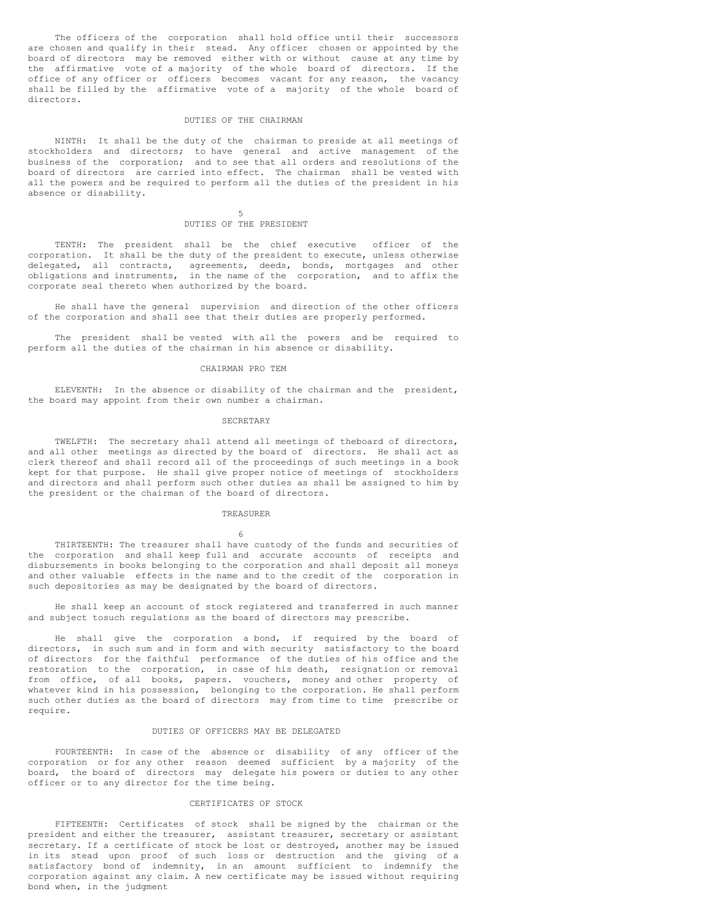The officers of the corporation shall hold office until their successors are chosen and qualify in their stead. Any officer chosen or appointed by the board of directors may be removed either with or without cause at any time by the affirmative vote of a majority of the whole board of directors. If the office of any officer or officers becomes vacant for any reason, the vacancy shall be filled by the affirmative vote of a majority of the whole board of directors.

### DUTIES OF THE CHAIRMAN

NINTH: It shall be the duty of the chairman to preside at all meetings of stockholders and directors; to have general and active management of the business of the corporation; and to see that all orders and resolutions of the board of directors are carried into effect. The chairman shall be vested with all the powers and be required to perform all the duties of the president in his absence or disability.

# 5 DUTIES OF THE PRESIDENT

TENTH: The president shall be the chief executive officer of the corporation. It shall be the duty of the president to execute, unless otherwise delegated, all contracts, agreements, deeds, bonds, mortgages and other obligations and instruments, in the name of the corporation, and to affix the corporate seal thereto when authorized by the board.

He shall have the general supervision and direction of the other officers of the corporation and shall see that their duties are properly performed.

The president shall be vested with all the powers and be required to perform all the duties of the chairman in his absence or disability.

#### CHAIRMAN PRO TEM

ELEVENTH: In the absence or disability of the chairman and the president, the board may appoint from their own number a chairman.

#### **SECRETARY**

TWELFTH: The secretary shall attend all meetings of theboard of directors, and all other meetings as directed by the board of directors. He shall act as clerk thereof and shall record all of the proceedings of such meetings in a book kept for that purpose. He shall give proper notice of meetings of stockholders and directors and shall perform such other duties as shall be assigned to him by the president or the chairman of the board of directors.

#### TREASURER

6

THIRTEENTH: The treasurer shall have custody of the funds and securities of the corporation and shall keep full and accurate accounts of receipts and disbursements in books belonging to the corporation and shall deposit all moneys and other valuable effects in the name and to the credit of the corporation in such depositories as may be designated by the board of directors.

He shall keep an account of stock registered and transferred in such manner and subject tosuch regulations as the board of directors may prescribe.

He shall give the corporation a bond, if required by the board of directors, in such sum and in form and with security satisfactory to the board of directors for the faithful performance of the duties of his office and the restoration to the corporation, in case of his death, resignation or removal from office, of all books, papers. vouchers, money and other property of whatever kind in his possession, belonging to the corporation. He shall perform such other duties as the board of directors may from time to time prescribe or require.

#### DUTIES OF OFFICERS MAY BE DELEGATED

FOURTEENTH: In case of the absence or disability of any officer of the corporation or for any other reason deemed sufficient by a majority of the board, the board of directors may delegate his powers or duties to any other officer or to any director for the time being.

#### CERTIFICATES OF STOCK

FIFTEENTH: Certificates of stock shall be signed by the chairman or the president and either the treasurer, assistant treasurer, secretary or assistant secretary. If a certificate of stock be lost or destroyed, another may be issued in its stead upon proof of such loss or destruction and the giving of a satisfactory bond of indemnity, in an amount sufficient to indemnify the corporation against any claim. A new certificate may be issued without requiring bond when, in the judgment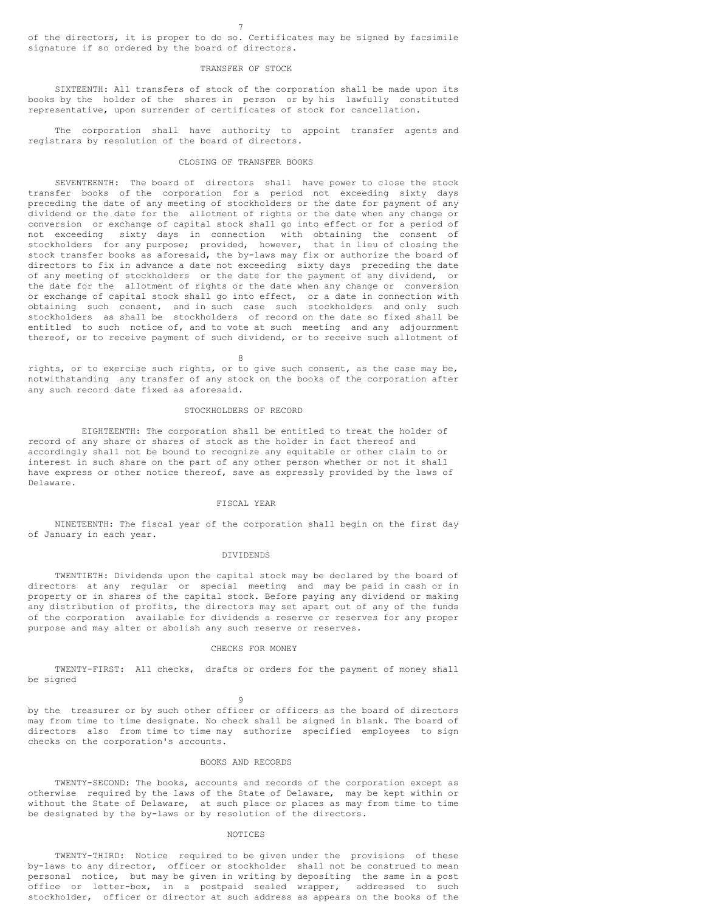### TRANSFER OF STOCK

SIXTEENTH: All transfers of stock of the corporation shall be made upon its books by the holder of the shares in person or by his lawfully constituted representative, upon surrender of certificates of stock for cancellation.

The corporation shall have authority to appoint transfer agents and registrars by resolution of the board of directors.

### CLOSING OF TRANSFER BOOKS

SEVENTEENTH: The board of directors shall have power to close the stock transfer books of the corporation for a period not exceeding sixty days preceding the date of any meeting of stockholders or the date for payment of any dividend or the date for the allotment of rights or the date when any change or conversion or exchange of capital stock shall go into effect or for a period of not exceeding sixty days in connection with obtaining the consent of stockholders for any purpose; provided, however, that in lieu of closing the stock transfer books as aforesaid, the by-laws may fix or authorize the board of directors to fix in advance a date not exceeding sixty days preceding the date of any meeting of stockholders or the date for the payment of any dividend, or the date for the allotment of rights or the date when any change or conversion or exchange of capital stock shall go into effect, or a date in connection with obtaining such consent, and in such case such stockholders and only such stockholders as shall be stockholders of record on the date so fixed shall be entitled to such notice of, and to vote at such meeting and any adjournment thereof, or to receive payment of such dividend, or to receive such allotment of

8

rights, or to exercise such rights, or to give such consent, as the case may be, notwithstanding any transfer of any stock on the books of the corporation after any such record date fixed as aforesaid.

### STOCKHOLDERS OF RECORD

EIGHTEENTH: The corporation shall be entitled to treat the holder of record of any share or shares of stock as the holder in fact thereof and accordingly shall not be bound to recognize any equitable or other claim to or interest in such share on the part of any other person whether or not it shall have express or other notice thereof, save as expressly provided by the laws of Delaware.

#### FISCAL YEAR

NINETEENTH: The fiscal year of the corporation shall begin on the first day of January in each year.

### DIVIDENDS

TWENTIETH: Dividends upon the capital stock may be declared by the board of directors at any regular or special meeting and may be paid in cash or in property or in shares of the capital stock. Before paying any dividend or making any distribution of profits, the directors may set apart out of any of the funds of the corporation available for dividends a reserve or reserves for any proper purpose and may alter or abolish any such reserve or reserves.

#### CHECKS FOR MONEY

TWENTY-FIRST: All checks, drafts or orders for the payment of money shall be signed

#### 9

by the treasurer or by such other officer or officers as the board of directors may from time to time designate. No check shall be signed in blank. The board of directors also from time to time may authorize specified employees to sign checks on the corporation's accounts.

#### BOOKS AND RECORDS

TWENTY-SECOND: The books, accounts and records of the corporation except as otherwise required by the laws of the State of Delaware, may be kept within or without the State of Delaware, at such place or places as may from time to time be designated by the by-laws or by resolution of the directors.

#### NOTICES

TWENTY-THIRD: Notice required to be given under the provisions of these by-laws to any director, officer or stockholder shall not be construed to mean personal notice, but may be given in writing by depositing the same in a post office or letter-box, in a postpaid sealed wrapper, addressed to such stockholder, officer or director at such address as appears on the books of the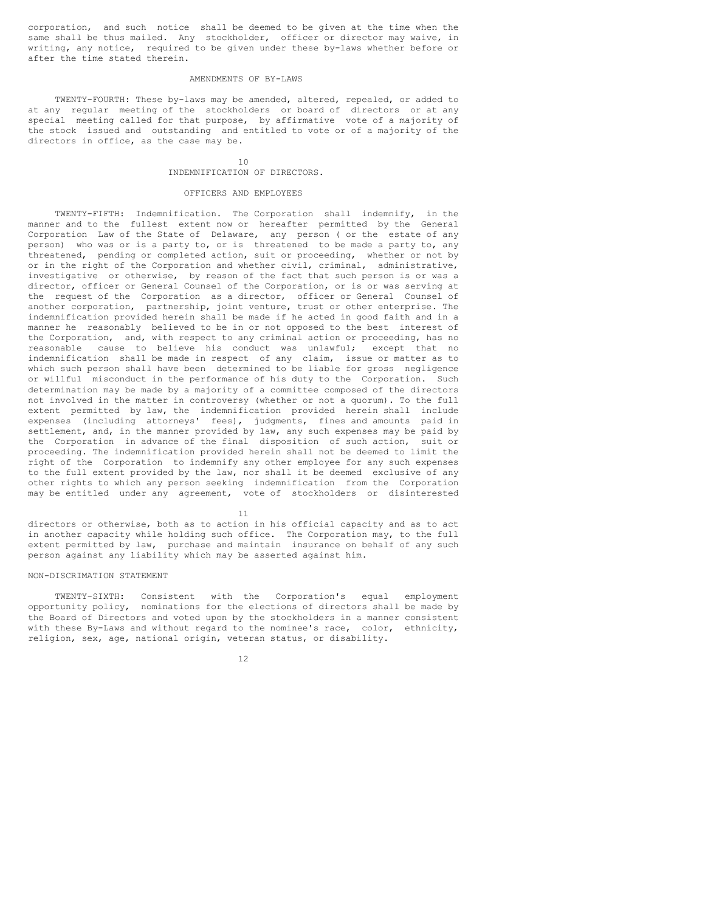corporation, and such notice shall be deemed to be given at the time when the same shall be thus mailed. Any stockholder, officer or director may waive, in writing, any notice, required to be given under these by-laws whether before or after the time stated therein.

#### AMENDMENTS OF BY-LAWS

TWENTY-FOURTH: These by-laws may be amended, altered, repealed, or added to at any regular meeting of the stockholders or board of directors or at any special meeting called for that purpose, by affirmative vote of a majority of the stock issued and outstanding and entitled to vote or of a majority of the directors in office, as the case may be.

 $10$ 

# INDEMNIFICATION OF DIRECTORS.

#### OFFICERS AND EMPLOYEES

TWENTY-FIFTH: Indemnification. The Corporation shall indemnify, in the manner and to the fullest extent now or hereafter permitted by the General Corporation Law of the State of Delaware, any person ( or the estate of any person) who was or is a party to, or is threatened to be made a party to, any threatened, pending or completed action, suit or proceeding, whether or not by or in the right of the Corporation and whether civil, criminal, administrative, investigative or otherwise, by reason of the fact that such person is or was a director, officer or General Counsel of the Corporation, or is or was serving at the request of the Corporation as a director, officer or General Counsel of another corporation, partnership, joint venture, trust or other enterprise. The indemnification provided herein shall be made if he acted in good faith and in a manner he reasonably believed to be in or not opposed to the best interest of the Corporation, and, with respect to any criminal action or proceeding, has no reasonable cause to believe his conduct was unlawful; except that no indemnification shall be made in respect of any claim, issue or matter as to which such person shall have been determined to be liable for gross negligence or willful misconduct in the performance of his duty to the Corporation. Such determination may be made by a majority of a committee composed of the directors not involved in the matter in controversy (whether or not a quorum). To the full extent permitted by law, the indemnification provided herein shall include expenses (including attorneys' fees), judgments, fines and amounts paid in settlement, and, in the manner provided by law, any such expenses may be paid by the Corporation in advance of the final disposition of such action, suit or proceeding. The indemnification provided herein shall not be deemed to limit the right of the Corporation to indemnify any other employee for any such expenses to the full extent provided by the law, nor shall it be deemed exclusive of any other rights to which any person seeking indemnification from the Corporation may be entitled under any agreement, vote of stockholders or disinterested

11

directors or otherwise, both as to action in his official capacity and as to act in another capacity while holding such office. The Corporation may, to the full extent permitted by law, purchase and maintain insurance on behalf of any such person against any liability which may be asserted against him.

#### NON-DISCRIMATION STATEMENT

TWENTY-SIXTH: Consistent with the Corporation's equal employment opportunity policy, nominations for the elections of directors shall be made by the Board of Directors and voted upon by the stockholders in a manner consistent with these By-Laws and without regard to the nominee's race, color, ethnicity, religion, sex, age, national origin, veteran status, or disability.

### 12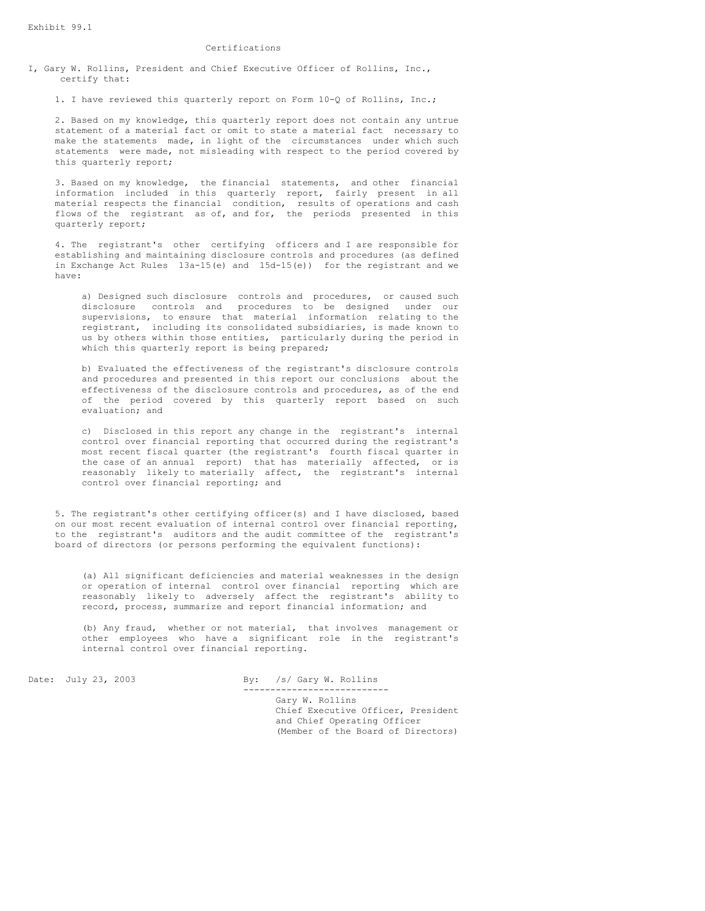### Certifications

I, Gary W. Rollins, President and Chief Executive Officer of Rollins, Inc., certify that:

1. I have reviewed this quarterly report on Form 10-Q of Rollins, Inc.;

2. Based on my knowledge, this quarterly report does not contain any untrue statement of a material fact or omit to state a material fact necessary to make the statements made, in light of the circumstances under which such statements were made, not misleading with respect to the period covered by this quarterly report;

3. Based on my knowledge, the financial statements, and other financial information included in this quarterly report, fairly present in all material respects the financial condition, results of operations and cash flows of the registrant as of, and for, the periods presented in this quarterly report;

4. The registrant's other certifying officers and I are responsible for establishing and maintaining disclosure controls and procedures (as defined in Exchange Act Rules 13a-15(e) and 15d-15(e)) for the registrant and we have:

a) Designed such disclosure controls and procedures, or caused such disclosure controls and procedures to be designed under our supervisions, to ensure that material information relating to the registrant, including its consolidated subsidiaries, is made known to us by others within those entities, particularly during the period in which this quarterly report is being prepared;

b) Evaluated the effectiveness of the registrant's disclosure controls and procedures and presented in this report our conclusions about the effectiveness of the disclosure controls and procedures, as of the end of the period covered by this quarterly report based on such evaluation; and

c) Disclosed in this report any change in the registrant's internal control over financial reporting that occurred during the registrant's most recent fiscal quarter (the registrant's fourth fiscal quarter in the case of an annual report) that has materially affected, or is reasonably likely to materially affect, the registrant's internal control over financial reporting; and

5. The registrant's other certifying officer(s) and I have disclosed, based on our most recent evaluation of internal control over financial reporting, to the registrant's auditors and the audit committee of the registrant's board of directors (or persons performing the equivalent functions):

(a) All significant deficiencies and material weaknesses in the design or operation of internal control over financial reporting which are reasonably likely to adversely affect the registrant's ability to record, process, summarize and report financial information; and

(b) Any fraud, whether or not material, that involves management or other employees who have a significant role in the registrant's internal control over financial reporting.

Date: July 23, 2003 By: /s/ Gary W. Rollins ---------------------------

> Gary W. Rollins Chief Executive Officer, President and Chief Operating Officer (Member of the Board of Directors)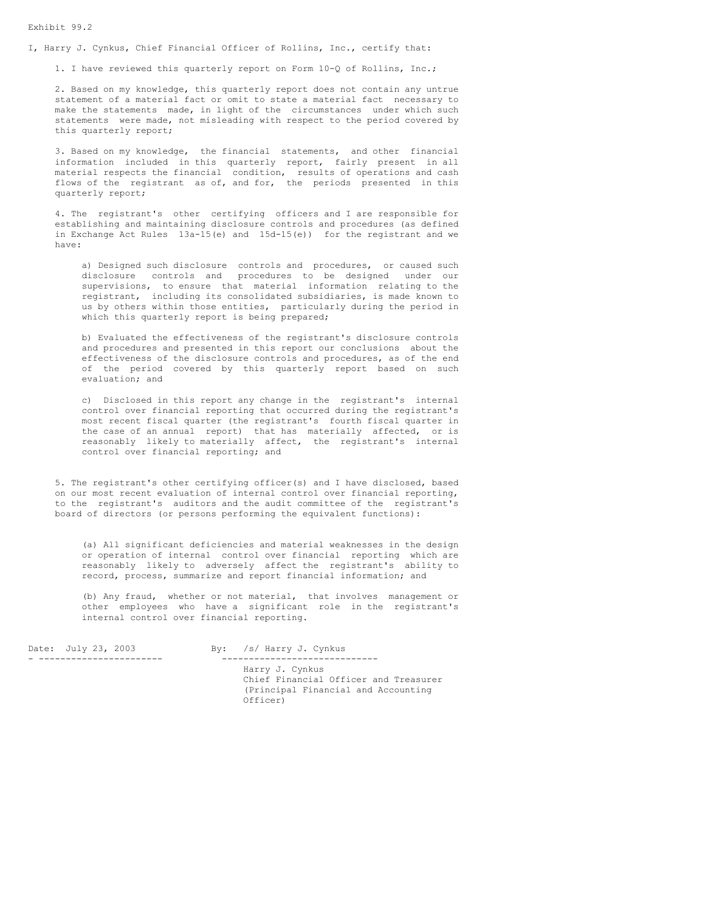Exhibit 99.2

I, Harry J. Cynkus, Chief Financial Officer of Rollins, Inc., certify that:

1. I have reviewed this quarterly report on Form 10-Q of Rollins, Inc.;

2. Based on my knowledge, this quarterly report does not contain any untrue statement of a material fact or omit to state a material fact necessary to make the statements made, in light of the circumstances under which such statements were made, not misleading with respect to the period covered by this quarterly report;

3. Based on my knowledge, the financial statements, and other financial information included in this quarterly report, fairly present in all material respects the financial condition, results of operations and cash flows of the registrant as of, and for, the periods presented in this quarterly report;

4. The registrant's other certifying officers and I are responsible for establishing and maintaining disclosure controls and procedures (as defined in Exchange Act Rules 13a-15(e) and 15d-15(e)) for the registrant and we have:

a) Designed such disclosure controls and procedures, or caused such disclosure controls and procedures to be designed under our supervisions, to ensure that material information relating to the registrant, including its consolidated subsidiaries, is made known to us by others within those entities, particularly during the period in which this quarterly report is being prepared;

b) Evaluated the effectiveness of the registrant's disclosure controls and procedures and presented in this report our conclusions about the effectiveness of the disclosure controls and procedures, as of the end of the period covered by this quarterly report based on such evaluation; and

c) Disclosed in this report any change in the registrant's internal control over financial reporting that occurred during the registrant's most recent fiscal quarter (the registrant's fourth fiscal quarter in the case of an annual report) that has materially affected, or is reasonably likely to materially affect, the registrant's internal control over financial reporting; and

5. The registrant's other certifying officer(s) and I have disclosed, based on our most recent evaluation of internal control over financial reporting, to the registrant's auditors and the audit committee of the registrant's board of directors (or persons performing the equivalent functions):

(a) All significant deficiencies and material weaknesses in the design or operation of internal control over financial reporting which are reasonably likely to adversely affect the registrant's ability to record, process, summarize and report financial information; and

(b) Any fraud, whether or not material, that involves management or other employees who have a significant role in the registrant's internal control over financial reporting.

| Date: | July 23, 2003 |  |  |
|-------|---------------|--|--|
|       |               |  |  |

Date: July 23, 2003 By: /s/ Harry J. Cynkus - ----------------------- ----------------------------- Harry J. Cynkus Chief Financial Officer and Treasurer (Principal Financial and Accounting Officer)